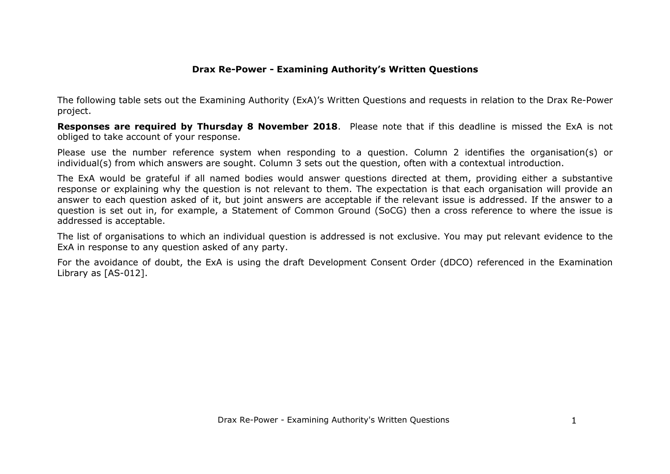The following table sets out the Examining Authority (ExA)'s Written Questions and requests in relation to the Drax Re-Power project.

**Responses are required by Thursday 8 November 2018**. Please note that if this deadline is missed the ExA is not obliged to take account of your response.

Please use the number reference system when responding to a question. Column 2 identifies the organisation(s) or individual(s) from which answers are sought. Column 3 sets out the question, often with a contextual introduction.

The ExA would be grateful if all named bodies would answer questions directed at them, providing either a substantive response or explaining why the question is not relevant to them. The expectation is that each organisation will provide an answer to each question asked of it, but joint answers are acceptable if the relevant issue is addressed. If the answer to a question is set out in, for example, a Statement of Common Ground (SoCG) then a cross reference to where the issue is addressed is acceptable.

The list of organisations to which an individual question is addressed is not exclusive. You may put relevant evidence to the ExA in response to any question asked of any party.

For the avoidance of doubt, the ExA is using the draft Development Consent Order (dDCO) referenced in the Examination Library as [AS-012].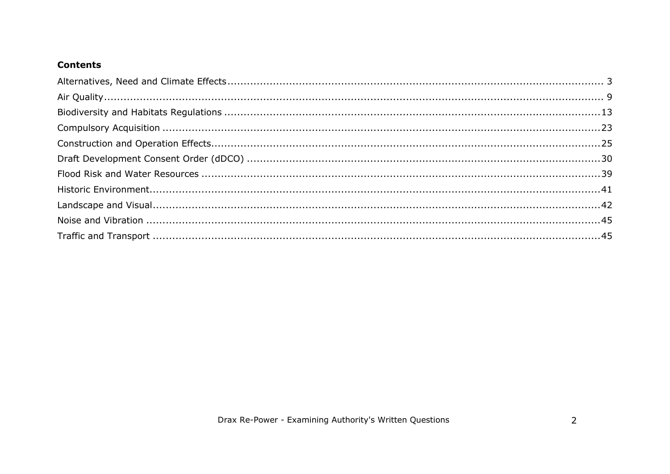## **Contents**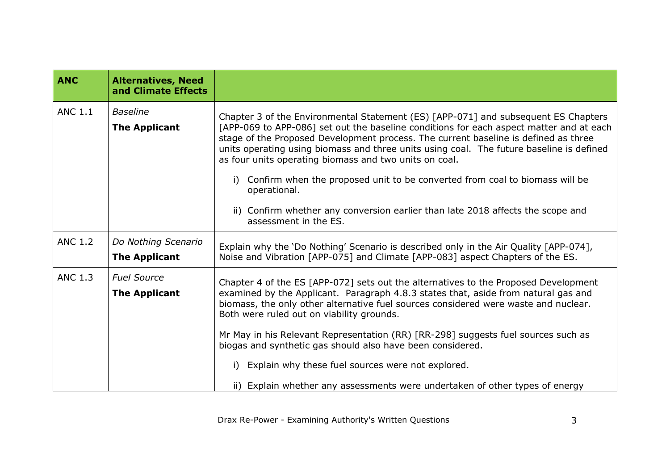<span id="page-2-0"></span>

| <b>ANC</b>     | <b>Alternatives, Need</b><br>and Climate Effects |                                                                                                                                                                                                                                                                                                                                                                                                                                                                                                                                                                                                                                             |
|----------------|--------------------------------------------------|---------------------------------------------------------------------------------------------------------------------------------------------------------------------------------------------------------------------------------------------------------------------------------------------------------------------------------------------------------------------------------------------------------------------------------------------------------------------------------------------------------------------------------------------------------------------------------------------------------------------------------------------|
| <b>ANC 1.1</b> | <b>Baseline</b><br><b>The Applicant</b>          | Chapter 3 of the Environmental Statement (ES) [APP-071] and subsequent ES Chapters<br>[APP-069 to APP-086] set out the baseline conditions for each aspect matter and at each<br>stage of the Proposed Development process. The current baseline is defined as three<br>units operating using biomass and three units using coal. The future baseline is defined<br>as four units operating biomass and two units on coal.<br>Confirm when the proposed unit to be converted from coal to biomass will be<br>i)<br>operational.<br>ii) Confirm whether any conversion earlier than late 2018 affects the scope and<br>assessment in the ES. |
| <b>ANC 1.2</b> | Do Nothing Scenario<br><b>The Applicant</b>      | Explain why the 'Do Nothing' Scenario is described only in the Air Quality [APP-074],<br>Noise and Vibration [APP-075] and Climate [APP-083] aspect Chapters of the ES.                                                                                                                                                                                                                                                                                                                                                                                                                                                                     |
| <b>ANC 1.3</b> | <b>Fuel Source</b><br><b>The Applicant</b>       | Chapter 4 of the ES [APP-072] sets out the alternatives to the Proposed Development<br>examined by the Applicant. Paragraph 4.8.3 states that, aside from natural gas and<br>biomass, the only other alternative fuel sources considered were waste and nuclear.<br>Both were ruled out on viability grounds.<br>Mr May in his Relevant Representation (RR) [RR-298] suggests fuel sources such as<br>biogas and synthetic gas should also have been considered.<br>Explain why these fuel sources were not explored.<br>ii) Explain whether any assessments were undertaken of other types of energy                                       |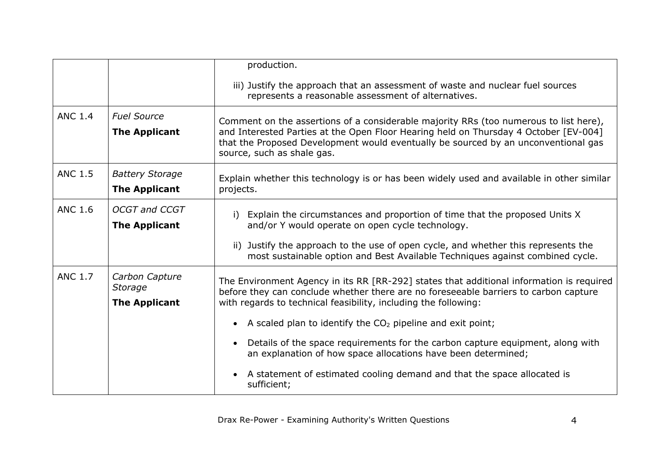|                |                                                   | production.                                                                                                                                                                                                                                                                                       |
|----------------|---------------------------------------------------|---------------------------------------------------------------------------------------------------------------------------------------------------------------------------------------------------------------------------------------------------------------------------------------------------|
|                |                                                   | iii) Justify the approach that an assessment of waste and nuclear fuel sources<br>represents a reasonable assessment of alternatives.                                                                                                                                                             |
| <b>ANC 1.4</b> | <b>Fuel Source</b><br><b>The Applicant</b>        | Comment on the assertions of a considerable majority RRs (too numerous to list here),<br>and Interested Parties at the Open Floor Hearing held on Thursday 4 October [EV-004]<br>that the Proposed Development would eventually be sourced by an unconventional gas<br>source, such as shale gas. |
| <b>ANC 1.5</b> | <b>Battery Storage</b><br><b>The Applicant</b>    | Explain whether this technology is or has been widely used and available in other similar<br>projects.                                                                                                                                                                                            |
| <b>ANC 1.6</b> | <b>OCGT and CCGT</b><br><b>The Applicant</b>      | Explain the circumstances and proportion of time that the proposed Units X<br>i)<br>and/or Y would operate on open cycle technology.                                                                                                                                                              |
|                |                                                   | ii) Justify the approach to the use of open cycle, and whether this represents the<br>most sustainable option and Best Available Techniques against combined cycle.                                                                                                                               |
| <b>ANC 1.7</b> | Carbon Capture<br>Storage<br><b>The Applicant</b> | The Environment Agency in its RR [RR-292] states that additional information is required<br>before they can conclude whether there are no foreseeable barriers to carbon capture<br>with regards to technical feasibility, including the following:                                               |
|                |                                                   | A scaled plan to identify the $CO2$ pipeline and exit point;                                                                                                                                                                                                                                      |
|                |                                                   | Details of the space requirements for the carbon capture equipment, along with<br>an explanation of how space allocations have been determined;                                                                                                                                                   |
|                |                                                   | A statement of estimated cooling demand and that the space allocated is<br>sufficient;                                                                                                                                                                                                            |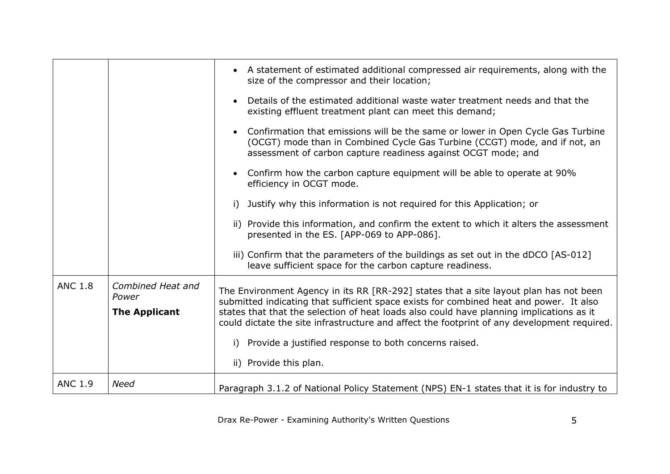|                |                                                    | A statement of estimated additional compressed air requirements, along with the<br>$\bullet$<br>size of the compressor and their location;                                                                                                                                                                                                                                                                                                                          |
|----------------|----------------------------------------------------|---------------------------------------------------------------------------------------------------------------------------------------------------------------------------------------------------------------------------------------------------------------------------------------------------------------------------------------------------------------------------------------------------------------------------------------------------------------------|
|                |                                                    | Details of the estimated additional waste water treatment needs and that the<br>existing effluent treatment plant can meet this demand;                                                                                                                                                                                                                                                                                                                             |
|                |                                                    | Confirmation that emissions will be the same or lower in Open Cycle Gas Turbine<br>(OCGT) mode than in Combined Cycle Gas Turbine (CCGT) mode, and if not, an<br>assessment of carbon capture readiness against OCGT mode; and                                                                                                                                                                                                                                      |
|                |                                                    | Confirm how the carbon capture equipment will be able to operate at 90%<br>efficiency in OCGT mode.                                                                                                                                                                                                                                                                                                                                                                 |
|                |                                                    | Justify why this information is not required for this Application; or<br>i)                                                                                                                                                                                                                                                                                                                                                                                         |
|                |                                                    | ii) Provide this information, and confirm the extent to which it alters the assessment<br>presented in the ES. [APP-069 to APP-086].                                                                                                                                                                                                                                                                                                                                |
|                |                                                    | iii) Confirm that the parameters of the buildings as set out in the dDCO [AS-012]<br>leave sufficient space for the carbon capture readiness.                                                                                                                                                                                                                                                                                                                       |
| <b>ANC 1.8</b> | Combined Heat and<br>Power<br><b>The Applicant</b> | The Environment Agency in its RR [RR-292] states that a site layout plan has not been<br>submitted indicating that sufficient space exists for combined heat and power. It also<br>states that that the selection of heat loads also could have planning implications as it<br>could dictate the site infrastructure and affect the footprint of any development required.<br>Provide a justified response to both concerns raised.<br>i)<br>ii) Provide this plan. |
| <b>ANC 1.9</b> | <b>Need</b>                                        |                                                                                                                                                                                                                                                                                                                                                                                                                                                                     |
|                |                                                    | Paragraph 3.1.2 of National Policy Statement (NPS) EN-1 states that it is for industry to                                                                                                                                                                                                                                                                                                                                                                           |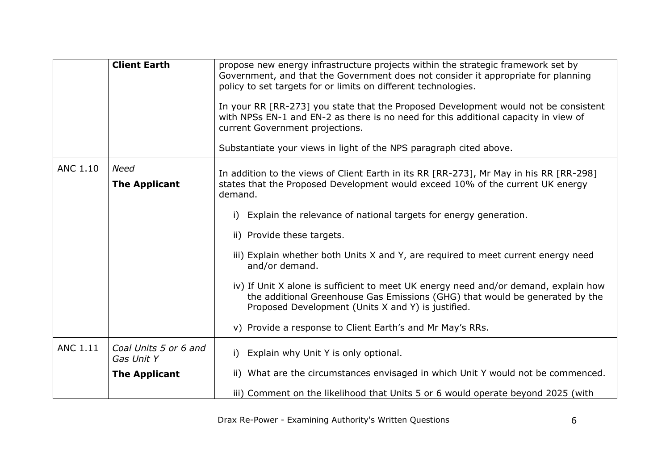|                 | <b>Client Earth</b>                 | propose new energy infrastructure projects within the strategic framework set by<br>Government, and that the Government does not consider it appropriate for planning<br>policy to set targets for or limits on different technologies.<br>In your RR [RR-273] you state that the Proposed Development would not be consistent<br>with NPSs EN-1 and EN-2 as there is no need for this additional capacity in view of<br>current Government projections.<br>Substantiate your views in light of the NPS paragraph cited above.                                                                                                                                                               |
|-----------------|-------------------------------------|----------------------------------------------------------------------------------------------------------------------------------------------------------------------------------------------------------------------------------------------------------------------------------------------------------------------------------------------------------------------------------------------------------------------------------------------------------------------------------------------------------------------------------------------------------------------------------------------------------------------------------------------------------------------------------------------|
| <b>ANC 1.10</b> | <b>Need</b><br><b>The Applicant</b> | In addition to the views of Client Earth in its RR [RR-273], Mr May in his RR [RR-298]<br>states that the Proposed Development would exceed 10% of the current UK energy<br>demand.<br>Explain the relevance of national targets for energy generation.<br>i)<br>ii) Provide these targets.<br>iii) Explain whether both Units X and Y, are required to meet current energy need<br>and/or demand.<br>iv) If Unit X alone is sufficient to meet UK energy need and/or demand, explain how<br>the additional Greenhouse Gas Emissions (GHG) that would be generated by the<br>Proposed Development (Units X and Y) is justified.<br>v) Provide a response to Client Earth's and Mr May's RRs. |
|                 |                                     |                                                                                                                                                                                                                                                                                                                                                                                                                                                                                                                                                                                                                                                                                              |
| <b>ANC 1.11</b> | Coal Units 5 or 6 and<br>Gas Unit Y | Explain why Unit Y is only optional.<br>i)                                                                                                                                                                                                                                                                                                                                                                                                                                                                                                                                                                                                                                                   |
|                 | <b>The Applicant</b>                | ii) What are the circumstances envisaged in which Unit Y would not be commenced.                                                                                                                                                                                                                                                                                                                                                                                                                                                                                                                                                                                                             |
|                 |                                     | iii) Comment on the likelihood that Units 5 or 6 would operate beyond 2025 (with                                                                                                                                                                                                                                                                                                                                                                                                                                                                                                                                                                                                             |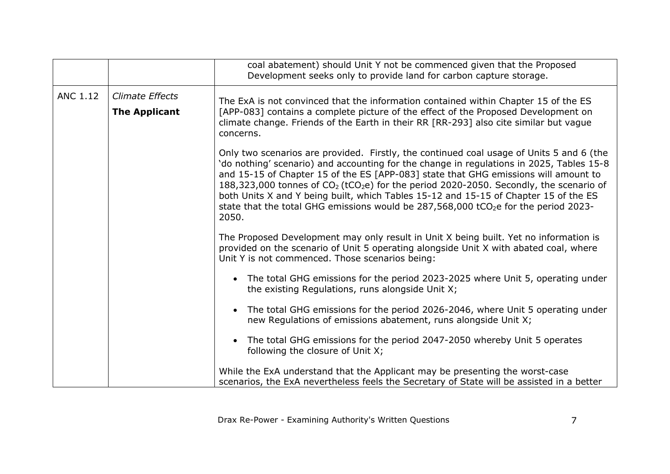|                 |                                         | coal abatement) should Unit Y not be commenced given that the Proposed<br>Development seeks only to provide land for carbon capture storage.                                                                                                                                                                                                                                                                                                                                                                                                                                              |
|-----------------|-----------------------------------------|-------------------------------------------------------------------------------------------------------------------------------------------------------------------------------------------------------------------------------------------------------------------------------------------------------------------------------------------------------------------------------------------------------------------------------------------------------------------------------------------------------------------------------------------------------------------------------------------|
| <b>ANC 1.12</b> | Climate Effects<br><b>The Applicant</b> | The ExA is not convinced that the information contained within Chapter 15 of the ES<br>[APP-083] contains a complete picture of the effect of the Proposed Development on<br>climate change. Friends of the Earth in their RR [RR-293] also cite similar but vague<br>concerns.                                                                                                                                                                                                                                                                                                           |
|                 |                                         | Only two scenarios are provided. Firstly, the continued coal usage of Units 5 and 6 (the<br>'do nothing' scenario) and accounting for the change in regulations in 2025, Tables 15-8<br>and 15-15 of Chapter 15 of the ES [APP-083] state that GHG emissions will amount to<br>188,323,000 tonnes of $CO2$ (tCO <sub>2</sub> e) for the period 2020-2050. Secondly, the scenario of<br>both Units X and Y being built, which Tables 15-12 and 15-15 of Chapter 15 of the ES<br>state that the total GHG emissions would be $287,568,000$ tCO <sub>2</sub> e for the period 2023-<br>2050. |
|                 |                                         | The Proposed Development may only result in Unit X being built. Yet no information is<br>provided on the scenario of Unit 5 operating alongside Unit X with abated coal, where<br>Unit Y is not commenced. Those scenarios being:                                                                                                                                                                                                                                                                                                                                                         |
|                 |                                         | The total GHG emissions for the period 2023-2025 where Unit 5, operating under<br>$\bullet$<br>the existing Regulations, runs alongside Unit X;                                                                                                                                                                                                                                                                                                                                                                                                                                           |
|                 |                                         | The total GHG emissions for the period 2026-2046, where Unit 5 operating under<br>new Regulations of emissions abatement, runs alongside Unit X;                                                                                                                                                                                                                                                                                                                                                                                                                                          |
|                 |                                         | The total GHG emissions for the period 2047-2050 whereby Unit 5 operates<br>following the closure of Unit X;                                                                                                                                                                                                                                                                                                                                                                                                                                                                              |
|                 |                                         | While the ExA understand that the Applicant may be presenting the worst-case<br>scenarios, the ExA nevertheless feels the Secretary of State will be assisted in a better                                                                                                                                                                                                                                                                                                                                                                                                                 |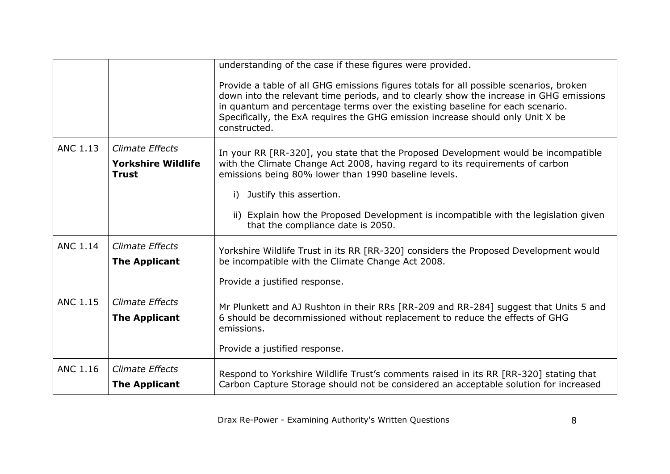|                 |                                                                     | understanding of the case if these figures were provided.                                                                                                                                                                                                                                                                                                           |
|-----------------|---------------------------------------------------------------------|---------------------------------------------------------------------------------------------------------------------------------------------------------------------------------------------------------------------------------------------------------------------------------------------------------------------------------------------------------------------|
|                 |                                                                     | Provide a table of all GHG emissions figures totals for all possible scenarios, broken<br>down into the relevant time periods, and to clearly show the increase in GHG emissions<br>in quantum and percentage terms over the existing baseline for each scenario.<br>Specifically, the ExA requires the GHG emission increase should only Unit X be<br>constructed. |
| <b>ANC 1.13</b> | <b>Climate Effects</b><br><b>Yorkshire Wildlife</b><br><b>Trust</b> | In your RR [RR-320], you state that the Proposed Development would be incompatible<br>with the Climate Change Act 2008, having regard to its requirements of carbon<br>emissions being 80% lower than 1990 baseline levels.                                                                                                                                         |
|                 |                                                                     | Justify this assertion.<br>i)                                                                                                                                                                                                                                                                                                                                       |
|                 |                                                                     | ii) Explain how the Proposed Development is incompatible with the legislation given<br>that the compliance date is 2050.                                                                                                                                                                                                                                            |
| <b>ANC 1.14</b> | <b>Climate Effects</b><br><b>The Applicant</b>                      | Yorkshire Wildlife Trust in its RR [RR-320] considers the Proposed Development would<br>be incompatible with the Climate Change Act 2008.                                                                                                                                                                                                                           |
|                 |                                                                     | Provide a justified response.                                                                                                                                                                                                                                                                                                                                       |
| <b>ANC 1.15</b> | <b>Climate Effects</b>                                              | Mr Plunkett and AJ Rushton in their RRs [RR-209 and RR-284] suggest that Units 5 and                                                                                                                                                                                                                                                                                |
|                 | <b>The Applicant</b>                                                | 6 should be decommissioned without replacement to reduce the effects of GHG<br>emissions.                                                                                                                                                                                                                                                                           |
|                 |                                                                     | Provide a justified response.                                                                                                                                                                                                                                                                                                                                       |
| <b>ANC 1.16</b> | <b>Climate Effects</b><br><b>The Applicant</b>                      | Respond to Yorkshire Wildlife Trust's comments raised in its RR [RR-320] stating that<br>Carbon Capture Storage should not be considered an acceptable solution for increased                                                                                                                                                                                       |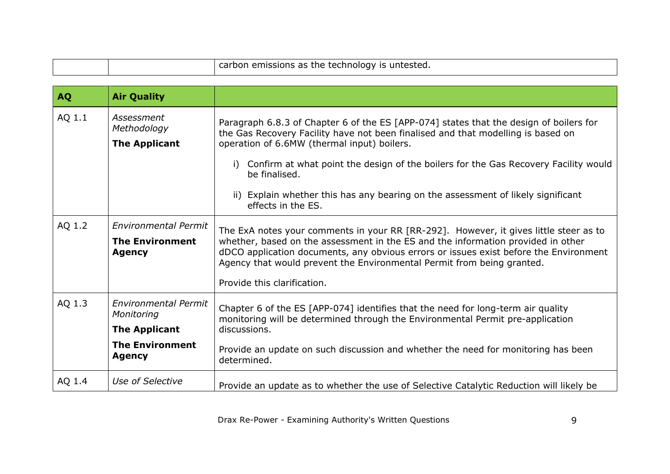|  |  | carbon emissions as the technology is untested. |
|--|--|-------------------------------------------------|
|--|--|-------------------------------------------------|

<span id="page-8-0"></span>

| <b>AQ</b> | <b>Air Quality</b>                                                                                    |                                                                                                                                                                                                                                                                                                                                                                                                                                                   |
|-----------|-------------------------------------------------------------------------------------------------------|---------------------------------------------------------------------------------------------------------------------------------------------------------------------------------------------------------------------------------------------------------------------------------------------------------------------------------------------------------------------------------------------------------------------------------------------------|
| AQ 1.1    | Assessment<br>Methodology<br><b>The Applicant</b>                                                     | Paragraph 6.8.3 of Chapter 6 of the ES [APP-074] states that the design of boilers for<br>the Gas Recovery Facility have not been finalised and that modelling is based on<br>operation of 6.6MW (thermal input) boilers.<br>Confirm at what point the design of the boilers for the Gas Recovery Facility would<br>i)<br>be finalised.<br>ii) Explain whether this has any bearing on the assessment of likely significant<br>effects in the ES. |
| AQ 1.2    | <b>Environmental Permit</b><br><b>The Environment</b><br><b>Agency</b>                                | The ExA notes your comments in your RR [RR-292]. However, it gives little steer as to<br>whether, based on the assessment in the ES and the information provided in other<br>dDCO application documents, any obvious errors or issues exist before the Environment<br>Agency that would prevent the Environmental Permit from being granted.<br>Provide this clarification.                                                                       |
| AQ 1.3    | Environmental Permit<br>Monitoring<br><b>The Applicant</b><br><b>The Environment</b><br><b>Agency</b> | Chapter 6 of the ES [APP-074] identifies that the need for long-term air quality<br>monitoring will be determined through the Environmental Permit pre-application<br>discussions.<br>Provide an update on such discussion and whether the need for monitoring has been<br>determined.                                                                                                                                                            |
| AQ 1.4    | Use of Selective                                                                                      | Provide an update as to whether the use of Selective Catalytic Reduction will likely be                                                                                                                                                                                                                                                                                                                                                           |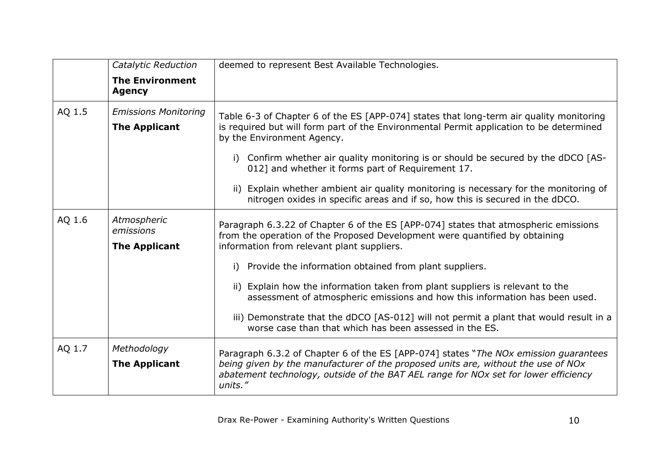|        | Catalytic Reduction                                 | deemed to represent Best Available Technologies.                                                                                                                                                                                                                                                                                                                                                                                                                                                                                                                                                      |
|--------|-----------------------------------------------------|-------------------------------------------------------------------------------------------------------------------------------------------------------------------------------------------------------------------------------------------------------------------------------------------------------------------------------------------------------------------------------------------------------------------------------------------------------------------------------------------------------------------------------------------------------------------------------------------------------|
|        | <b>The Environment</b><br><b>Agency</b>             |                                                                                                                                                                                                                                                                                                                                                                                                                                                                                                                                                                                                       |
| AQ 1.5 | <b>Emissions Monitoring</b><br><b>The Applicant</b> | Table 6-3 of Chapter 6 of the ES [APP-074] states that long-term air quality monitoring<br>is required but will form part of the Environmental Permit application to be determined<br>by the Environment Agency.<br>Confirm whether air quality monitoring is or should be secured by the dDCO [AS-<br>i)<br>012] and whether it forms part of Requirement 17.<br>Explain whether ambient air quality monitoring is necessary for the monitoring of<br>ii)<br>nitrogen oxides in specific areas and if so, how this is secured in the dDCO.                                                           |
| AQ 1.6 | Atmospheric<br>emissions<br><b>The Applicant</b>    | Paragraph 6.3.22 of Chapter 6 of the ES [APP-074] states that atmospheric emissions<br>from the operation of the Proposed Development were quantified by obtaining<br>information from relevant plant suppliers.<br>Provide the information obtained from plant suppliers.<br>i)<br>ii) Explain how the information taken from plant suppliers is relevant to the<br>assessment of atmospheric emissions and how this information has been used.<br>iii) Demonstrate that the dDCO [AS-012] will not permit a plant that would result in a<br>worse case than that which has been assessed in the ES. |
| AQ 1.7 | Methodology<br><b>The Applicant</b>                 | Paragraph 6.3.2 of Chapter 6 of the ES [APP-074] states "The NOx emission guarantees<br>being given by the manufacturer of the proposed units are, without the use of NOx<br>abatement technology, outside of the BAT AEL range for NOx set for lower efficiency<br>units."                                                                                                                                                                                                                                                                                                                           |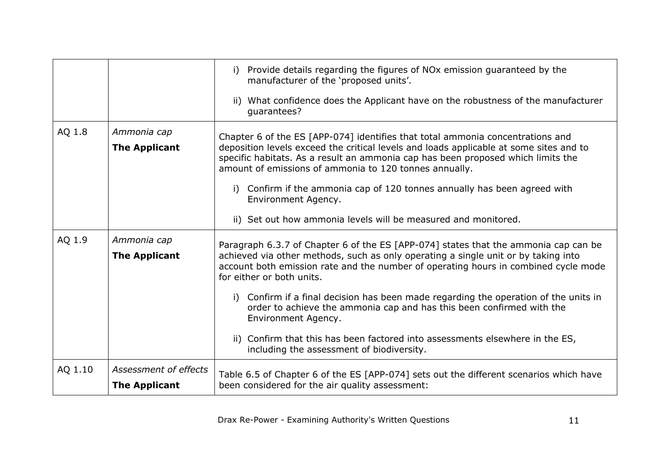|         |                                               | Provide details regarding the figures of NO <sub>x</sub> emission guaranteed by the<br>i)<br>manufacturer of the 'proposed units'.                                                                                                                                                                                     |
|---------|-----------------------------------------------|------------------------------------------------------------------------------------------------------------------------------------------------------------------------------------------------------------------------------------------------------------------------------------------------------------------------|
|         |                                               | ii) What confidence does the Applicant have on the robustness of the manufacturer<br>quarantees?                                                                                                                                                                                                                       |
| AQ 1.8  | Ammonia cap<br><b>The Applicant</b>           | Chapter 6 of the ES [APP-074] identifies that total ammonia concentrations and<br>deposition levels exceed the critical levels and loads applicable at some sites and to<br>specific habitats. As a result an ammonia cap has been proposed which limits the<br>amount of emissions of ammonia to 120 tonnes annually. |
|         |                                               | i) Confirm if the ammonia cap of 120 tonnes annually has been agreed with<br>Environment Agency.                                                                                                                                                                                                                       |
|         |                                               | ii) Set out how ammonia levels will be measured and monitored.                                                                                                                                                                                                                                                         |
| AQ 1.9  | Ammonia cap<br><b>The Applicant</b>           | Paragraph 6.3.7 of Chapter 6 of the ES [APP-074] states that the ammonia cap can be<br>achieved via other methods, such as only operating a single unit or by taking into<br>account both emission rate and the number of operating hours in combined cycle mode<br>for either or both units.                          |
|         |                                               | i) Confirm if a final decision has been made regarding the operation of the units in<br>order to achieve the ammonia cap and has this been confirmed with the<br>Environment Agency.                                                                                                                                   |
|         |                                               | Confirm that this has been factored into assessments elsewhere in the ES,<br>including the assessment of biodiversity.                                                                                                                                                                                                 |
| AQ 1.10 | Assessment of effects<br><b>The Applicant</b> | Table 6.5 of Chapter 6 of the ES [APP-074] sets out the different scenarios which have<br>been considered for the air quality assessment:                                                                                                                                                                              |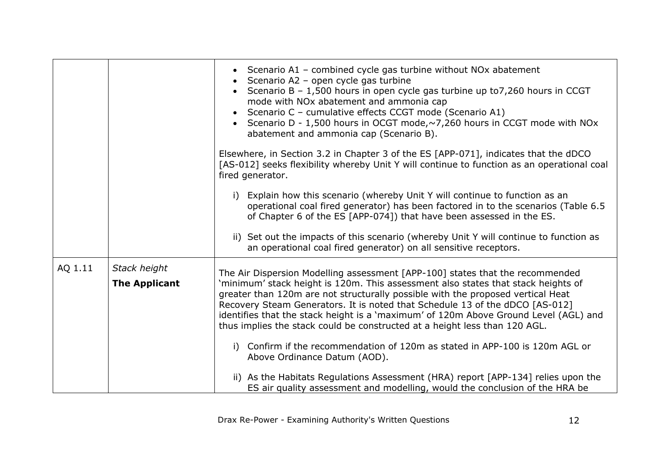|                      |                                                                                                                                                                                                                                                                                                                                                                                                                            | • Scenario A1 – combined cycle gas turbine without NO <sub>x</sub> abatement<br>Scenario A2 - open cycle gas turbine<br>Scenario B - 1,500 hours in open cycle gas turbine up to7,260 hours in CCGT<br>mode with NOx abatement and ammonia cap<br>Scenario C - cumulative effects CCGT mode (Scenario A1)<br>Scenario D - 1,500 hours in OCGT mode, $\sim$ 7,260 hours in CCGT mode with NOx<br>abatement and ammonia cap (Scenario B).<br>Elsewhere, in Section 3.2 in Chapter 3 of the ES [APP-071], indicates that the dDCO<br>[AS-012] seeks flexibility whereby Unit Y will continue to function as an operational coal<br>fired generator.<br>i) Explain how this scenario (whereby Unit Y will continue to function as an<br>operational coal fired generator) has been factored in to the scenarios (Table 6.5 |
|----------------------|----------------------------------------------------------------------------------------------------------------------------------------------------------------------------------------------------------------------------------------------------------------------------------------------------------------------------------------------------------------------------------------------------------------------------|------------------------------------------------------------------------------------------------------------------------------------------------------------------------------------------------------------------------------------------------------------------------------------------------------------------------------------------------------------------------------------------------------------------------------------------------------------------------------------------------------------------------------------------------------------------------------------------------------------------------------------------------------------------------------------------------------------------------------------------------------------------------------------------------------------------------|
|                      |                                                                                                                                                                                                                                                                                                                                                                                                                            | of Chapter 6 of the ES [APP-074]) that have been assessed in the ES.<br>ii) Set out the impacts of this scenario (whereby Unit Y will continue to function as                                                                                                                                                                                                                                                                                                                                                                                                                                                                                                                                                                                                                                                          |
|                      |                                                                                                                                                                                                                                                                                                                                                                                                                            | an operational coal fired generator) on all sensitive receptors.                                                                                                                                                                                                                                                                                                                                                                                                                                                                                                                                                                                                                                                                                                                                                       |
| AQ 1.11              | Stack height                                                                                                                                                                                                                                                                                                                                                                                                               | The Air Dispersion Modelling assessment [APP-100] states that the recommended                                                                                                                                                                                                                                                                                                                                                                                                                                                                                                                                                                                                                                                                                                                                          |
| <b>The Applicant</b> | 'minimum' stack height is 120m. This assessment also states that stack heights of<br>greater than 120m are not structurally possible with the proposed vertical Heat<br>Recovery Steam Generators. It is noted that Schedule 13 of the dDCO [AS-012]<br>identifies that the stack height is a 'maximum' of 120m Above Ground Level (AGL) and<br>thus implies the stack could be constructed at a height less than 120 AGL. |                                                                                                                                                                                                                                                                                                                                                                                                                                                                                                                                                                                                                                                                                                                                                                                                                        |
|                      |                                                                                                                                                                                                                                                                                                                                                                                                                            | Confirm if the recommendation of 120m as stated in APP-100 is 120m AGL or<br>i)<br>Above Ordinance Datum (AOD).                                                                                                                                                                                                                                                                                                                                                                                                                                                                                                                                                                                                                                                                                                        |
|                      |                                                                                                                                                                                                                                                                                                                                                                                                                            | ii) As the Habitats Regulations Assessment (HRA) report [APP-134] relies upon the<br>ES air quality assessment and modelling, would the conclusion of the HRA be                                                                                                                                                                                                                                                                                                                                                                                                                                                                                                                                                                                                                                                       |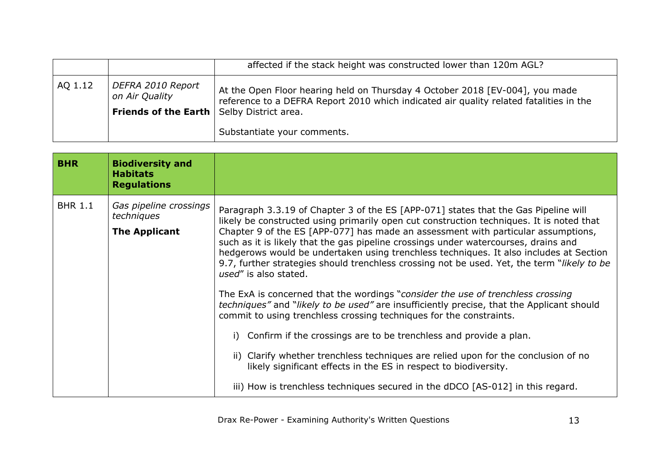|         |                                                                                                  | affected if the stack height was constructed lower than 120m AGL?                                                                                                      |
|---------|--------------------------------------------------------------------------------------------------|------------------------------------------------------------------------------------------------------------------------------------------------------------------------|
| AQ 1.12 | <i>DEFRA 2010 Report</i><br>on Air Quality<br><b>Friends of the Earth   Selby District area.</b> | At the Open Floor hearing held on Thursday 4 October 2018 [EV-004], you made<br>reference to a DEFRA Report 2010 which indicated air quality related fatalities in the |
|         |                                                                                                  | Substantiate your comments.                                                                                                                                            |

<span id="page-12-0"></span>

| <b>BHR</b>     | <b>Biodiversity and</b><br><b>Habitats</b><br><b>Regulations</b> |                                                                                                                                                                                                                                                                                                                                                                                                                                                                                                                                                                                                                                                                                                                                                                                                                                                                                                                                                                                                                                                                                                                                                                         |
|----------------|------------------------------------------------------------------|-------------------------------------------------------------------------------------------------------------------------------------------------------------------------------------------------------------------------------------------------------------------------------------------------------------------------------------------------------------------------------------------------------------------------------------------------------------------------------------------------------------------------------------------------------------------------------------------------------------------------------------------------------------------------------------------------------------------------------------------------------------------------------------------------------------------------------------------------------------------------------------------------------------------------------------------------------------------------------------------------------------------------------------------------------------------------------------------------------------------------------------------------------------------------|
| <b>BHR 1.1</b> | Gas pipeline crossings<br>techniques<br><b>The Applicant</b>     | Paragraph 3.3.19 of Chapter 3 of the ES [APP-071] states that the Gas Pipeline will<br>likely be constructed using primarily open cut construction techniques. It is noted that<br>Chapter 9 of the ES [APP-077] has made an assessment with particular assumptions,<br>such as it is likely that the gas pipeline crossings under watercourses, drains and<br>hedgerows would be undertaken using trenchless techniques. It also includes at Section<br>9.7, further strategies should trenchless crossing not be used. Yet, the term "likely to be<br>used" is also stated.<br>The ExA is concerned that the wordings "consider the use of trenchless crossing<br><i>techniques"</i> and " <i>likely to be used"</i> are insufficiently precise, that the Applicant should<br>commit to using trenchless crossing techniques for the constraints.<br>i) Confirm if the crossings are to be trenchless and provide a plan.<br>ii) Clarify whether trenchless techniques are relied upon for the conclusion of no<br>likely significant effects in the ES in respect to biodiversity.<br>iii) How is trenchless techniques secured in the dDCO [AS-012] in this regard. |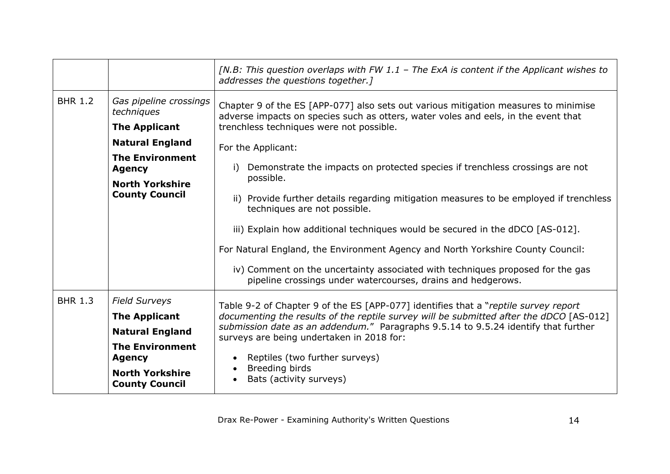|                |                                                                                                                                                                      | [N.B: This question overlaps with FW 1.1 – The ExA is content if the Applicant wishes to<br>addresses the questions together.]                                                                                                                                                                                                                                                                                                                                                                                                                                        |
|----------------|----------------------------------------------------------------------------------------------------------------------------------------------------------------------|-----------------------------------------------------------------------------------------------------------------------------------------------------------------------------------------------------------------------------------------------------------------------------------------------------------------------------------------------------------------------------------------------------------------------------------------------------------------------------------------------------------------------------------------------------------------------|
| <b>BHR 1.2</b> | Gas pipeline crossings<br>techniques<br><b>The Applicant</b>                                                                                                         | Chapter 9 of the ES [APP-077] also sets out various mitigation measures to minimise<br>adverse impacts on species such as otters, water voles and eels, in the event that<br>trenchless techniques were not possible.                                                                                                                                                                                                                                                                                                                                                 |
|                | <b>Natural England</b><br><b>The Environment</b><br><b>Agency</b><br><b>North Yorkshire</b><br><b>County Council</b>                                                 | For the Applicant:<br>Demonstrate the impacts on protected species if trenchless crossings are not<br>i)<br>possible.<br>ii) Provide further details regarding mitigation measures to be employed if trenchless<br>techniques are not possible.<br>iii) Explain how additional techniques would be secured in the dDCO [AS-012].<br>For Natural England, the Environment Agency and North Yorkshire County Council:<br>iv) Comment on the uncertainty associated with techniques proposed for the gas<br>pipeline crossings under watercourses, drains and hedgerows. |
| <b>BHR 1.3</b> | <b>Field Surveys</b><br><b>The Applicant</b><br><b>Natural England</b><br><b>The Environment</b><br><b>Agency</b><br><b>North Yorkshire</b><br><b>County Council</b> | Table 9-2 of Chapter 9 of the ES [APP-077] identifies that a "reptile survey report<br>documenting the results of the reptile survey will be submitted after the dDCO [AS-012]<br>submission date as an addendum." Paragraphs 9.5.14 to 9.5.24 identify that further<br>surveys are being undertaken in 2018 for:<br>Reptiles (two further surveys)<br>Breeding birds<br>Bats (activity surveys)                                                                                                                                                                      |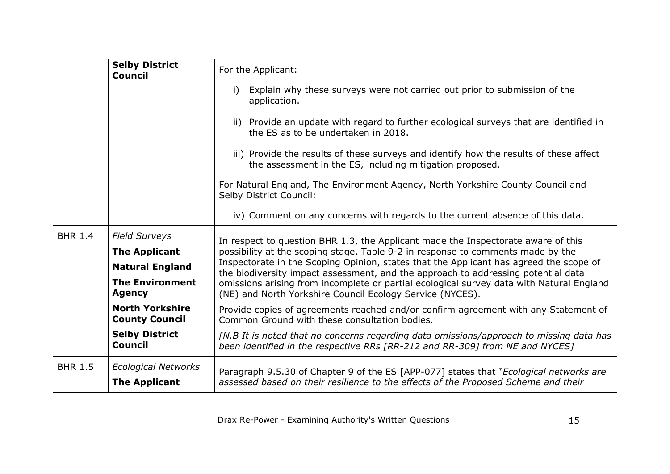|                | <b>Selby District</b><br><b>Council</b>                                                                                                                                                                         | For the Applicant:<br>Explain why these surveys were not carried out prior to submission of the<br>application.<br>ii) Provide an update with regard to further ecological surveys that are identified in<br>the ES as to be undertaken in 2018.<br>iii) Provide the results of these surveys and identify how the results of these affect<br>the assessment in the ES, including mitigation proposed.<br>For Natural England, The Environment Agency, North Yorkshire County Council and<br>Selby District Council:<br>iv) Comment on any concerns with regards to the current absence of this data.                                                                                                                                                                                                                           |
|----------------|-----------------------------------------------------------------------------------------------------------------------------------------------------------------------------------------------------------------|---------------------------------------------------------------------------------------------------------------------------------------------------------------------------------------------------------------------------------------------------------------------------------------------------------------------------------------------------------------------------------------------------------------------------------------------------------------------------------------------------------------------------------------------------------------------------------------------------------------------------------------------------------------------------------------------------------------------------------------------------------------------------------------------------------------------------------|
| <b>BHR 1.4</b> | <b>Field Surveys</b><br><b>The Applicant</b><br><b>Natural England</b><br><b>The Environment</b><br><b>Agency</b><br><b>North Yorkshire</b><br><b>County Council</b><br><b>Selby District</b><br><b>Council</b> | In respect to question BHR 1.3, the Applicant made the Inspectorate aware of this<br>possibility at the scoping stage. Table 9-2 in response to comments made by the<br>Inspectorate in the Scoping Opinion, states that the Applicant has agreed the scope of<br>the biodiversity impact assessment, and the approach to addressing potential data<br>omissions arising from incomplete or partial ecological survey data with Natural England<br>(NE) and North Yorkshire Council Ecology Service (NYCES).<br>Provide copies of agreements reached and/or confirm agreement with any Statement of<br>Common Ground with these consultation bodies.<br>[N.B It is noted that no concerns regarding data omissions/approach to missing data has<br>been identified in the respective RRs [RR-212 and RR-309] from NE and NYCES] |
| <b>BHR 1.5</b> | <b>Ecological Networks</b><br><b>The Applicant</b>                                                                                                                                                              | Paragraph 9.5.30 of Chapter 9 of the ES [APP-077] states that "Ecological networks are<br>assessed based on their resilience to the effects of the Proposed Scheme and their                                                                                                                                                                                                                                                                                                                                                                                                                                                                                                                                                                                                                                                    |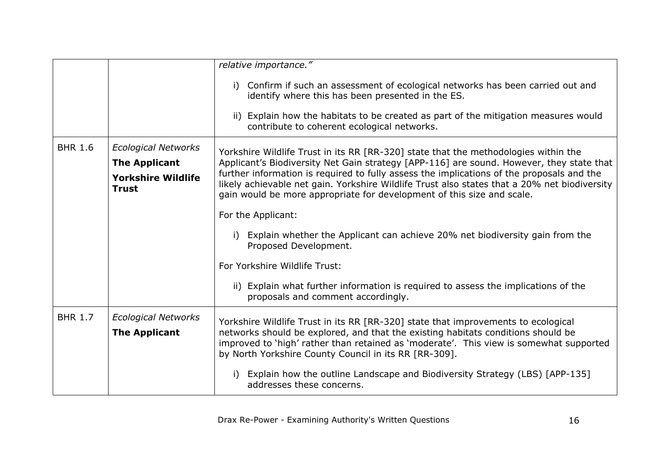|                |                                                                                                 | relative importance."                                                                                                                                                                                                                                                                                                                                                                                                                                  |
|----------------|-------------------------------------------------------------------------------------------------|--------------------------------------------------------------------------------------------------------------------------------------------------------------------------------------------------------------------------------------------------------------------------------------------------------------------------------------------------------------------------------------------------------------------------------------------------------|
|                |                                                                                                 | Confirm if such an assessment of ecological networks has been carried out and<br>i)<br>identify where this has been presented in the ES.                                                                                                                                                                                                                                                                                                               |
|                |                                                                                                 | ii) Explain how the habitats to be created as part of the mitigation measures would<br>contribute to coherent ecological networks.                                                                                                                                                                                                                                                                                                                     |
| <b>BHR 1.6</b> | <b>Ecological Networks</b><br><b>The Applicant</b><br><b>Yorkshire Wildlife</b><br><b>Trust</b> | Yorkshire Wildlife Trust in its RR [RR-320] state that the methodologies within the<br>Applicant's Biodiversity Net Gain strategy [APP-116] are sound. However, they state that<br>further information is required to fully assess the implications of the proposals and the<br>likely achievable net gain. Yorkshire Wildlife Trust also states that a 20% net biodiversity<br>gain would be more appropriate for development of this size and scale. |
|                |                                                                                                 | For the Applicant:                                                                                                                                                                                                                                                                                                                                                                                                                                     |
|                |                                                                                                 | Explain whether the Applicant can achieve 20% net biodiversity gain from the<br>Proposed Development.                                                                                                                                                                                                                                                                                                                                                  |
|                |                                                                                                 | For Yorkshire Wildlife Trust:                                                                                                                                                                                                                                                                                                                                                                                                                          |
|                |                                                                                                 | ii) Explain what further information is required to assess the implications of the<br>proposals and comment accordingly.                                                                                                                                                                                                                                                                                                                               |
| <b>BHR 1.7</b> | <b>Ecological Networks</b><br><b>The Applicant</b>                                              | Yorkshire Wildlife Trust in its RR [RR-320] state that improvements to ecological<br>networks should be explored, and that the existing habitats conditions should be<br>improved to 'high' rather than retained as 'moderate'. This view is somewhat supported<br>by North Yorkshire County Council in its RR [RR-309].                                                                                                                               |
|                |                                                                                                 | Explain how the outline Landscape and Biodiversity Strategy (LBS) [APP-135]<br>addresses these concerns.                                                                                                                                                                                                                                                                                                                                               |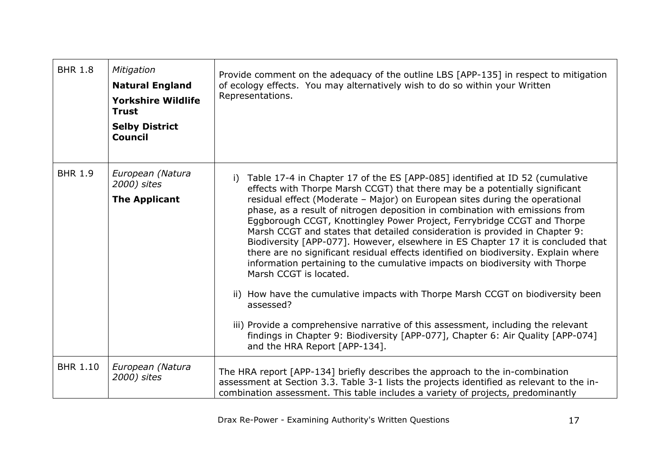| <b>BHR 1.8</b>  | Mitigation<br><b>Natural England</b><br><b>Yorkshire Wildlife</b><br><b>Trust</b><br><b>Selby District</b><br><b>Council</b> | Provide comment on the adequacy of the outline LBS [APP-135] in respect to mitigation<br>of ecology effects. You may alternatively wish to do so within your Written<br>Representations.                                                                                                                                                                                                                                                                                                                                                                                                                                                                                                                                                                                                                                                                                                                                                                                                                                                                                                 |
|-----------------|------------------------------------------------------------------------------------------------------------------------------|------------------------------------------------------------------------------------------------------------------------------------------------------------------------------------------------------------------------------------------------------------------------------------------------------------------------------------------------------------------------------------------------------------------------------------------------------------------------------------------------------------------------------------------------------------------------------------------------------------------------------------------------------------------------------------------------------------------------------------------------------------------------------------------------------------------------------------------------------------------------------------------------------------------------------------------------------------------------------------------------------------------------------------------------------------------------------------------|
| <b>BHR 1.9</b>  | European (Natura<br>2000) sites<br><b>The Applicant</b>                                                                      | Table 17-4 in Chapter 17 of the ES [APP-085] identified at ID 52 (cumulative<br>i)<br>effects with Thorpe Marsh CCGT) that there may be a potentially significant<br>residual effect (Moderate - Major) on European sites during the operational<br>phase, as a result of nitrogen deposition in combination with emissions from<br>Eggborough CCGT, Knottingley Power Project, Ferrybridge CCGT and Thorpe<br>Marsh CCGT and states that detailed consideration is provided in Chapter 9:<br>Biodiversity [APP-077]. However, elsewhere in ES Chapter 17 it is concluded that<br>there are no significant residual effects identified on biodiversity. Explain where<br>information pertaining to the cumulative impacts on biodiversity with Thorpe<br>Marsh CCGT is located.<br>ii) How have the cumulative impacts with Thorpe Marsh CCGT on biodiversity been<br>assessed?<br>iii) Provide a comprehensive narrative of this assessment, including the relevant<br>findings in Chapter 9: Biodiversity [APP-077], Chapter 6: Air Quality [APP-074]<br>and the HRA Report [APP-134]. |
| <b>BHR 1.10</b> | European (Natura<br>2000) sites                                                                                              | The HRA report [APP-134] briefly describes the approach to the in-combination<br>assessment at Section 3.3. Table 3-1 lists the projects identified as relevant to the in-<br>combination assessment. This table includes a variety of projects, predominantly                                                                                                                                                                                                                                                                                                                                                                                                                                                                                                                                                                                                                                                                                                                                                                                                                           |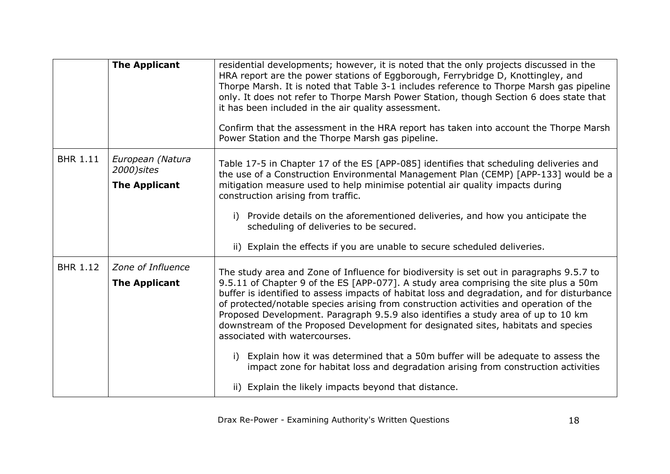|                 | <b>The Applicant</b>                                    | residential developments; however, it is noted that the only projects discussed in the<br>HRA report are the power stations of Eggborough, Ferrybridge D, Knottingley, and<br>Thorpe Marsh. It is noted that Table 3-1 includes reference to Thorpe Marsh gas pipeline<br>only. It does not refer to Thorpe Marsh Power Station, though Section 6 does state that<br>it has been included in the air quality assessment.<br>Confirm that the assessment in the HRA report has taken into account the Thorpe Marsh<br>Power Station and the Thorpe Marsh gas pipeline.                                                                                                                                                                                                                                                    |
|-----------------|---------------------------------------------------------|--------------------------------------------------------------------------------------------------------------------------------------------------------------------------------------------------------------------------------------------------------------------------------------------------------------------------------------------------------------------------------------------------------------------------------------------------------------------------------------------------------------------------------------------------------------------------------------------------------------------------------------------------------------------------------------------------------------------------------------------------------------------------------------------------------------------------|
| <b>BHR 1.11</b> | European (Natura<br>2000) sites<br><b>The Applicant</b> | Table 17-5 in Chapter 17 of the ES [APP-085] identifies that scheduling deliveries and<br>the use of a Construction Environmental Management Plan (CEMP) [APP-133] would be a<br>mitigation measure used to help minimise potential air quality impacts during<br>construction arising from traffic.<br>i) Provide details on the aforementioned deliveries, and how you anticipate the<br>scheduling of deliveries to be secured.<br>ii) Explain the effects if you are unable to secure scheduled deliveries.                                                                                                                                                                                                                                                                                                          |
| <b>BHR 1.12</b> | Zone of Influence<br><b>The Applicant</b>               | The study area and Zone of Influence for biodiversity is set out in paragraphs 9.5.7 to<br>9.5.11 of Chapter 9 of the ES [APP-077]. A study area comprising the site plus a 50m<br>buffer is identified to assess impacts of habitat loss and degradation, and for disturbance<br>of protected/notable species arising from construction activities and operation of the<br>Proposed Development. Paragraph 9.5.9 also identifies a study area of up to 10 km<br>downstream of the Proposed Development for designated sites, habitats and species<br>associated with watercourses.<br>Explain how it was determined that a 50m buffer will be adequate to assess the<br>i)<br>impact zone for habitat loss and degradation arising from construction activities<br>ii) Explain the likely impacts beyond that distance. |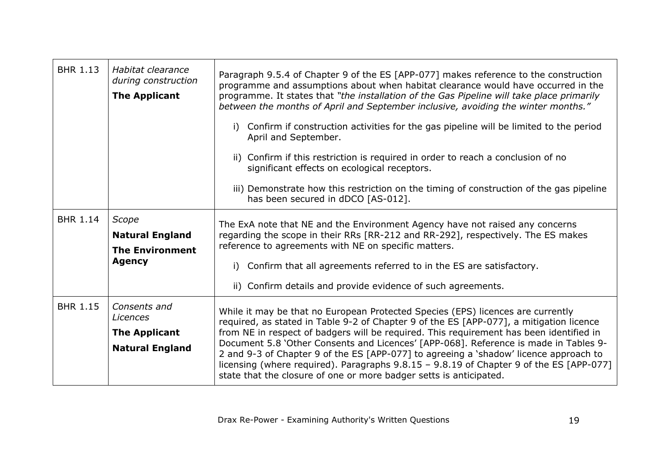| <b>BHR 1.13</b> | Habitat clearance<br>during construction<br><b>The Applicant</b>           | Paragraph 9.5.4 of Chapter 9 of the ES [APP-077] makes reference to the construction<br>programme and assumptions about when habitat clearance would have occurred in the<br>programme. It states that "the installation of the Gas Pipeline will take place primarily<br>between the months of April and September inclusive, avoiding the winter months."<br>Confirm if construction activities for the gas pipeline will be limited to the period<br>i)<br>April and September.<br>ii) Confirm if this restriction is required in order to reach a conclusion of no<br>significant effects on ecological receptors.<br>iii) Demonstrate how this restriction on the timing of construction of the gas pipeline<br>has been secured in dDCO [AS-012]. |
|-----------------|----------------------------------------------------------------------------|---------------------------------------------------------------------------------------------------------------------------------------------------------------------------------------------------------------------------------------------------------------------------------------------------------------------------------------------------------------------------------------------------------------------------------------------------------------------------------------------------------------------------------------------------------------------------------------------------------------------------------------------------------------------------------------------------------------------------------------------------------|
| <b>BHR 1.14</b> | Scope<br><b>Natural England</b><br><b>The Environment</b><br><b>Agency</b> | The ExA note that NE and the Environment Agency have not raised any concerns<br>regarding the scope in their RRs [RR-212 and RR-292], respectively. The ES makes<br>reference to agreements with NE on specific matters.<br>Confirm that all agreements referred to in the ES are satisfactory.<br>i)<br>ii) Confirm details and provide evidence of such agreements.                                                                                                                                                                                                                                                                                                                                                                                   |
| <b>BHR 1.15</b> | Consents and<br>Licences<br><b>The Applicant</b><br><b>Natural England</b> | While it may be that no European Protected Species (EPS) licences are currently<br>required, as stated in Table 9-2 of Chapter 9 of the ES [APP-077], a mitigation licence<br>from NE in respect of badgers will be required. This requirement has been identified in<br>Document 5.8 'Other Consents and Licences' [APP-068]. Reference is made in Tables 9-<br>2 and 9-3 of Chapter 9 of the ES [APP-077] to agreeing a 'shadow' licence approach to<br>licensing (where required). Paragraphs 9.8.15 - 9.8.19 of Chapter 9 of the ES [APP-077]<br>state that the closure of one or more badger setts is anticipated.                                                                                                                                 |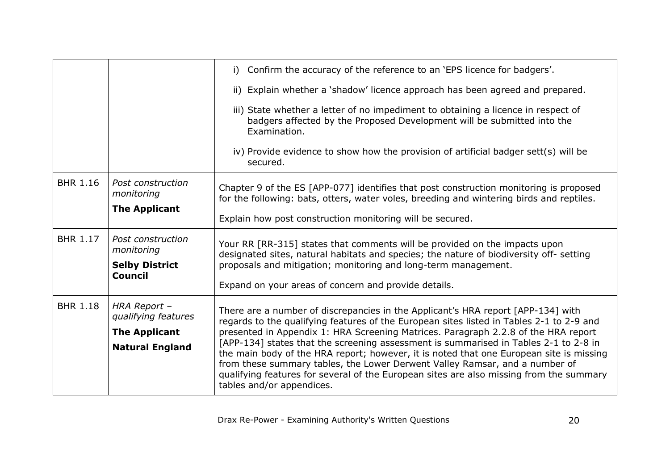|                 |                                     | i) Confirm the accuracy of the reference to an 'EPS licence for badgers'.                                                                                                                           |
|-----------------|-------------------------------------|-----------------------------------------------------------------------------------------------------------------------------------------------------------------------------------------------------|
|                 |                                     | ii) Explain whether a 'shadow' licence approach has been agreed and prepared.                                                                                                                       |
|                 |                                     | iii) State whether a letter of no impediment to obtaining a licence in respect of<br>badgers affected by the Proposed Development will be submitted into the<br>Examination.                        |
|                 |                                     | iv) Provide evidence to show how the provision of artificial badger sett(s) will be<br>secured.                                                                                                     |
| <b>BHR 1.16</b> | Post construction<br>monitoring     | Chapter 9 of the ES [APP-077] identifies that post construction monitoring is proposed<br>for the following: bats, otters, water voles, breeding and wintering birds and reptiles.                  |
|                 | <b>The Applicant</b>                | Explain how post construction monitoring will be secured.                                                                                                                                           |
| <b>BHR 1.17</b> | Post construction<br>monitoring     | Your RR [RR-315] states that comments will be provided on the impacts upon                                                                                                                          |
|                 | <b>Selby District</b>               | designated sites, natural habitats and species; the nature of biodiversity off- setting<br>proposals and mitigation; monitoring and long-term management.                                           |
|                 | <b>Council</b>                      | Expand on your areas of concern and provide details.                                                                                                                                                |
| <b>BHR 1.18</b> | HRA Report -<br>qualifying features | There are a number of discrepancies in the Applicant's HRA report [APP-134] with                                                                                                                    |
|                 | <b>The Applicant</b>                | regards to the qualifying features of the European sites listed in Tables 2-1 to 2-9 and<br>presented in Appendix 1: HRA Screening Matrices. Paragraph 2.2.8 of the HRA report                      |
|                 | <b>Natural England</b>              | [APP-134] states that the screening assessment is summarised in Tables 2-1 to 2-8 in<br>the main body of the HRA report; however, it is noted that one European site is missing                     |
|                 |                                     | from these summary tables, the Lower Derwent Valley Ramsar, and a number of<br>qualifying features for several of the European sites are also missing from the summary<br>tables and/or appendices. |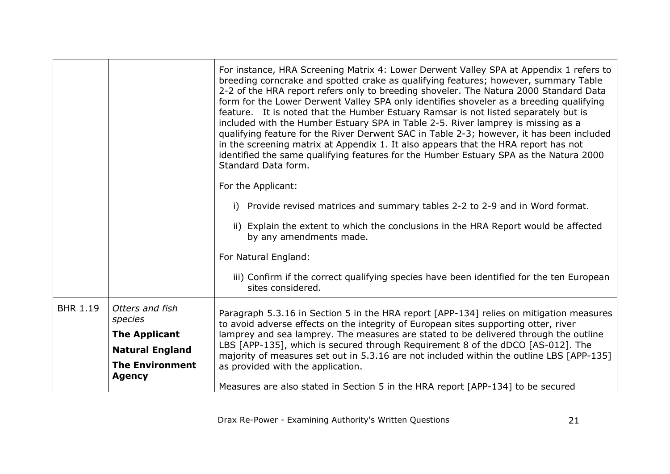|                 |                            | For instance, HRA Screening Matrix 4: Lower Derwent Valley SPA at Appendix 1 refers to<br>breeding corncrake and spotted crake as qualifying features; however, summary Table<br>2-2 of the HRA report refers only to breeding shoveler. The Natura 2000 Standard Data<br>form for the Lower Derwent Valley SPA only identifies shoveler as a breeding qualifying<br>feature. It is noted that the Humber Estuary Ramsar is not listed separately but is<br>included with the Humber Estuary SPA in Table 2-5. River lamprey is missing as a<br>qualifying feature for the River Derwent SAC in Table 2-3; however, it has been included<br>in the screening matrix at Appendix 1. It also appears that the HRA report has not<br>identified the same qualifying features for the Humber Estuary SPA as the Natura 2000<br>Standard Data form. |
|-----------------|----------------------------|------------------------------------------------------------------------------------------------------------------------------------------------------------------------------------------------------------------------------------------------------------------------------------------------------------------------------------------------------------------------------------------------------------------------------------------------------------------------------------------------------------------------------------------------------------------------------------------------------------------------------------------------------------------------------------------------------------------------------------------------------------------------------------------------------------------------------------------------|
|                 |                            | For the Applicant:                                                                                                                                                                                                                                                                                                                                                                                                                                                                                                                                                                                                                                                                                                                                                                                                                             |
|                 |                            | i) Provide revised matrices and summary tables 2-2 to 2-9 and in Word format.                                                                                                                                                                                                                                                                                                                                                                                                                                                                                                                                                                                                                                                                                                                                                                  |
|                 |                            | ii) Explain the extent to which the conclusions in the HRA Report would be affected<br>by any amendments made.                                                                                                                                                                                                                                                                                                                                                                                                                                                                                                                                                                                                                                                                                                                                 |
|                 |                            | For Natural England:                                                                                                                                                                                                                                                                                                                                                                                                                                                                                                                                                                                                                                                                                                                                                                                                                           |
|                 |                            | iii) Confirm if the correct qualifying species have been identified for the ten European<br>sites considered.                                                                                                                                                                                                                                                                                                                                                                                                                                                                                                                                                                                                                                                                                                                                  |
| <b>BHR 1.19</b> | Otters and fish<br>species | Paragraph 5.3.16 in Section 5 in the HRA report [APP-134] relies on mitigation measures<br>to avoid adverse effects on the integrity of European sites supporting otter, river                                                                                                                                                                                                                                                                                                                                                                                                                                                                                                                                                                                                                                                                 |
|                 | <b>The Applicant</b>       | lamprey and sea lamprey. The measures are stated to be delivered through the outline                                                                                                                                                                                                                                                                                                                                                                                                                                                                                                                                                                                                                                                                                                                                                           |
|                 | <b>Natural England</b>     | LBS [APP-135], which is secured through Requirement 8 of the dDCO [AS-012]. The<br>majority of measures set out in 5.3.16 are not included within the outline LBS [APP-135]                                                                                                                                                                                                                                                                                                                                                                                                                                                                                                                                                                                                                                                                    |
|                 | <b>The Environment</b>     | as provided with the application.                                                                                                                                                                                                                                                                                                                                                                                                                                                                                                                                                                                                                                                                                                                                                                                                              |
|                 | <b>Agency</b>              | Measures are also stated in Section 5 in the HRA report [APP-134] to be secured                                                                                                                                                                                                                                                                                                                                                                                                                                                                                                                                                                                                                                                                                                                                                                |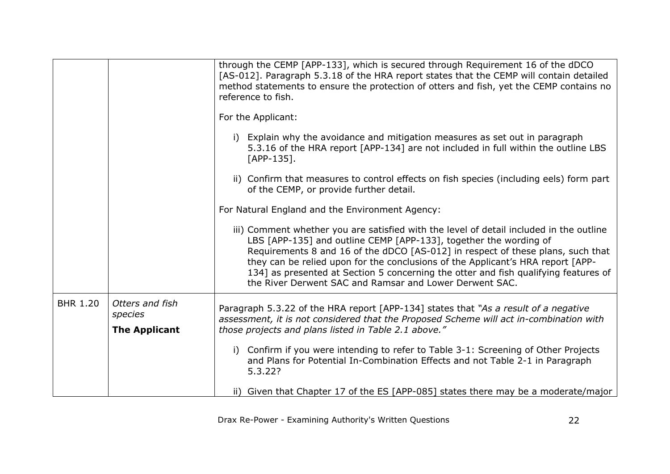|                 |                            | through the CEMP [APP-133], which is secured through Requirement 16 of the dDCO<br>[AS-012]. Paragraph 5.3.18 of the HRA report states that the CEMP will contain detailed<br>method statements to ensure the protection of otters and fish, yet the CEMP contains no<br>reference to fish.                                                                                                                                                                                          |
|-----------------|----------------------------|--------------------------------------------------------------------------------------------------------------------------------------------------------------------------------------------------------------------------------------------------------------------------------------------------------------------------------------------------------------------------------------------------------------------------------------------------------------------------------------|
|                 |                            | For the Applicant:                                                                                                                                                                                                                                                                                                                                                                                                                                                                   |
|                 |                            | i) Explain why the avoidance and mitigation measures as set out in paragraph<br>5.3.16 of the HRA report [APP-134] are not included in full within the outline LBS<br>$[APP-135]$ .                                                                                                                                                                                                                                                                                                  |
|                 |                            | ii) Confirm that measures to control effects on fish species (including eels) form part<br>of the CEMP, or provide further detail.                                                                                                                                                                                                                                                                                                                                                   |
|                 |                            | For Natural England and the Environment Agency:                                                                                                                                                                                                                                                                                                                                                                                                                                      |
|                 |                            | iii) Comment whether you are satisfied with the level of detail included in the outline<br>LBS [APP-135] and outline CEMP [APP-133], together the wording of<br>Requirements 8 and 16 of the dDCO [AS-012] in respect of these plans, such that<br>they can be relied upon for the conclusions of the Applicant's HRA report [APP-<br>134] as presented at Section 5 concerning the otter and fish qualifying features of<br>the River Derwent SAC and Ramsar and Lower Derwent SAC. |
| <b>BHR 1.20</b> | Otters and fish<br>species | Paragraph 5.3.22 of the HRA report [APP-134] states that "As a result of a negative<br>assessment, it is not considered that the Proposed Scheme will act in-combination with                                                                                                                                                                                                                                                                                                        |
|                 | <b>The Applicant</b>       | those projects and plans listed in Table 2.1 above."                                                                                                                                                                                                                                                                                                                                                                                                                                 |
|                 |                            | i) Confirm if you were intending to refer to Table 3-1: Screening of Other Projects<br>and Plans for Potential In-Combination Effects and not Table 2-1 in Paragraph<br>5.3.22?                                                                                                                                                                                                                                                                                                      |
|                 |                            | ii) Given that Chapter 17 of the ES [APP-085] states there may be a moderate/major                                                                                                                                                                                                                                                                                                                                                                                                   |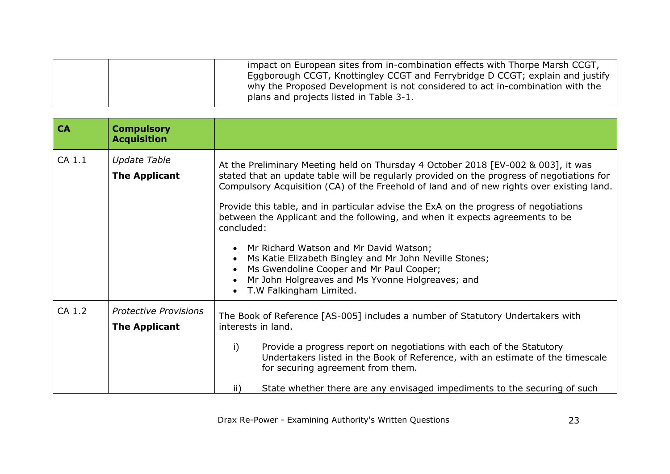| plans and projects listed in Table 3-1. |
|-----------------------------------------|
|-----------------------------------------|

<span id="page-22-0"></span>

| <b>CA</b> | <b>Compulsory</b><br><b>Acquisition</b>              |                                                                                                                                                                                                                                                                                                                                                                                                                                                                                                                                                                                                                                                                                                    |
|-----------|------------------------------------------------------|----------------------------------------------------------------------------------------------------------------------------------------------------------------------------------------------------------------------------------------------------------------------------------------------------------------------------------------------------------------------------------------------------------------------------------------------------------------------------------------------------------------------------------------------------------------------------------------------------------------------------------------------------------------------------------------------------|
| CA 1.1    | <b>Update Table</b><br><b>The Applicant</b>          | At the Preliminary Meeting held on Thursday 4 October 2018 [EV-002 & 003], it was<br>stated that an update table will be regularly provided on the progress of negotiations for<br>Compulsory Acquisition (CA) of the Freehold of land and of new rights over existing land.<br>Provide this table, and in particular advise the ExA on the progress of negotiations<br>between the Applicant and the following, and when it expects agreements to be<br>concluded:<br>Mr Richard Watson and Mr David Watson;<br>Ms Katie Elizabeth Bingley and Mr John Neville Stones;<br>Ms Gwendoline Cooper and Mr Paul Cooper;<br>Mr John Holgreaves and Ms Yvonne Holgreaves; and<br>T.W Falkingham Limited. |
| CA 1.2    | <b>Protective Provisions</b><br><b>The Applicant</b> | The Book of Reference [AS-005] includes a number of Statutory Undertakers with<br>interests in land.<br>i)<br>Provide a progress report on negotiations with each of the Statutory<br>Undertakers listed in the Book of Reference, with an estimate of the timescale<br>for securing agreement from them.<br>State whether there are any envisaged impediments to the securing of such<br>ii)                                                                                                                                                                                                                                                                                                      |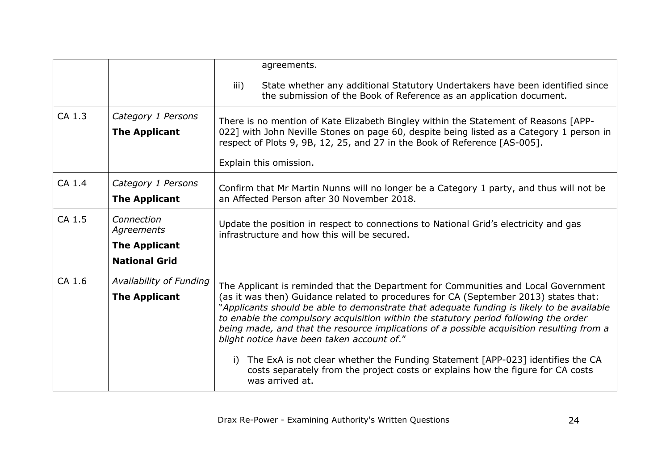|        |                                                                         | agreements.                                                                                                                                                                                                                                                                                                                                                                                                                                                                                                                                                                                                                                                                                        |
|--------|-------------------------------------------------------------------------|----------------------------------------------------------------------------------------------------------------------------------------------------------------------------------------------------------------------------------------------------------------------------------------------------------------------------------------------------------------------------------------------------------------------------------------------------------------------------------------------------------------------------------------------------------------------------------------------------------------------------------------------------------------------------------------------------|
|        |                                                                         | State whether any additional Statutory Undertakers have been identified since<br>iii)<br>the submission of the Book of Reference as an application document.                                                                                                                                                                                                                                                                                                                                                                                                                                                                                                                                       |
| CA 1.3 | Category 1 Persons<br><b>The Applicant</b>                              | There is no mention of Kate Elizabeth Bingley within the Statement of Reasons [APP-<br>022] with John Neville Stones on page 60, despite being listed as a Category 1 person in<br>respect of Plots 9, 9B, 12, 25, and 27 in the Book of Reference [AS-005].<br>Explain this omission.                                                                                                                                                                                                                                                                                                                                                                                                             |
| CA 1.4 | Category 1 Persons<br><b>The Applicant</b>                              | Confirm that Mr Martin Nunns will no longer be a Category 1 party, and thus will not be<br>an Affected Person after 30 November 2018.                                                                                                                                                                                                                                                                                                                                                                                                                                                                                                                                                              |
| CA 1.5 | Connection<br>Agreements<br><b>The Applicant</b>                        | Update the position in respect to connections to National Grid's electricity and gas<br>infrastructure and how this will be secured.                                                                                                                                                                                                                                                                                                                                                                                                                                                                                                                                                               |
| CA 1.6 | <b>National Grid</b><br>Availability of Funding<br><b>The Applicant</b> | The Applicant is reminded that the Department for Communities and Local Government<br>(as it was then) Guidance related to procedures for CA (September 2013) states that:<br>"Applicants should be able to demonstrate that adequate funding is likely to be available<br>to enable the compulsory acquisition within the statutory period following the order<br>being made, and that the resource implications of a possible acquisition resulting from a<br>blight notice have been taken account of."<br>The ExA is not clear whether the Funding Statement [APP-023] identifies the CA<br>costs separately from the project costs or explains how the figure for CA costs<br>was arrived at. |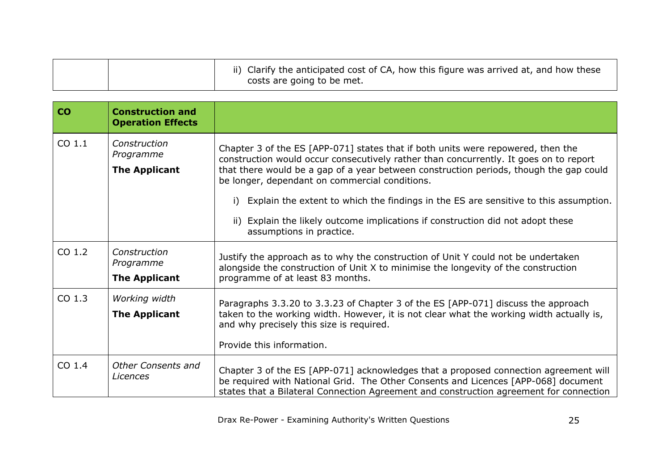|  | ii) Clarify the anticipated cost of CA, how this figure was arrived at, and how these<br>costs are going to be met. |
|--|---------------------------------------------------------------------------------------------------------------------|
|--|---------------------------------------------------------------------------------------------------------------------|

<span id="page-24-0"></span>

| <b>CO</b>         | <b>Construction and</b><br><b>Operation Effects</b> |                                                                                                                                                                                                                                                                                                                                                                                                                     |
|-------------------|-----------------------------------------------------|---------------------------------------------------------------------------------------------------------------------------------------------------------------------------------------------------------------------------------------------------------------------------------------------------------------------------------------------------------------------------------------------------------------------|
| CO 1.1            | Construction<br>Programme<br><b>The Applicant</b>   | Chapter 3 of the ES [APP-071] states that if both units were repowered, then the<br>construction would occur consecutively rather than concurrently. It goes on to report<br>that there would be a gap of a year between construction periods, though the gap could<br>be longer, dependant on commercial conditions.<br>Explain the extent to which the findings in the ES are sensitive to this assumption.<br>i) |
|                   |                                                     | ii) Explain the likely outcome implications if construction did not adopt these<br>assumptions in practice.                                                                                                                                                                                                                                                                                                         |
| CO <sub>1.2</sub> | Construction<br>Programme                           | Justify the approach as to why the construction of Unit Y could not be undertaken<br>alongside the construction of Unit X to minimise the longevity of the construction<br>programme of at least 83 months.                                                                                                                                                                                                         |
|                   | <b>The Applicant</b>                                |                                                                                                                                                                                                                                                                                                                                                                                                                     |
| CO 1.3            | Working width<br><b>The Applicant</b>               | Paragraphs 3.3.20 to 3.3.23 of Chapter 3 of the ES [APP-071] discuss the approach<br>taken to the working width. However, it is not clear what the working width actually is,<br>and why precisely this size is required.<br>Provide this information.                                                                                                                                                              |
| $CO$ 1.4          | <b>Other Consents and</b><br><b>Licences</b>        | Chapter 3 of the ES [APP-071] acknowledges that a proposed connection agreement will<br>be required with National Grid. The Other Consents and Licences [APP-068] document<br>states that a Bilateral Connection Agreement and construction agreement for connection                                                                                                                                                |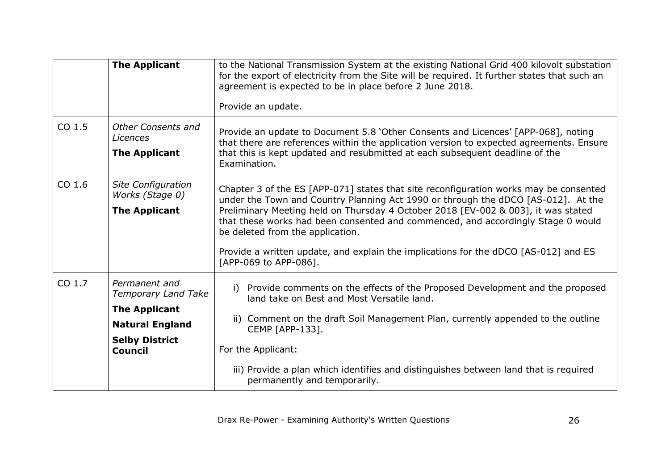|          | <b>The Applicant</b>                         | to the National Transmission System at the existing National Grid 400 kilovolt substation<br>for the export of electricity from the Site will be required. It further states that such an<br>agreement is expected to be in place before 2 June 2018. |
|----------|----------------------------------------------|-------------------------------------------------------------------------------------------------------------------------------------------------------------------------------------------------------------------------------------------------------|
|          |                                              | Provide an update.                                                                                                                                                                                                                                    |
| CO 1.5   | <b>Other Consents and</b><br><b>Licences</b> | Provide an update to Document 5.8 'Other Consents and Licences' [APP-068], noting<br>that there are references within the application version to expected agreements. Ensure                                                                          |
|          | <b>The Applicant</b>                         | that this is kept updated and resubmitted at each subsequent deadline of the<br>Examination.                                                                                                                                                          |
| $CO$ 1.6 | Site Configuration<br>Works (Stage 0)        | Chapter 3 of the ES [APP-071] states that site reconfiguration works may be consented<br>under the Town and Country Planning Act 1990 or through the dDCO [AS-012]. At the                                                                            |
|          | <b>The Applicant</b>                         | Preliminary Meeting held on Thursday 4 October 2018 [EV-002 & 003], it was stated<br>that these works had been consented and commenced, and accordingly Stage 0 would<br>be deleted from the application.                                             |
|          |                                              | Provide a written update, and explain the implications for the dDCO [AS-012] and ES<br>[APP-069 to APP-086].                                                                                                                                          |
| CO 1.7   | Permanent and<br><b>Temporary Land Take</b>  | Provide comments on the effects of the Proposed Development and the proposed<br>i)<br>land take on Best and Most Versatile land.                                                                                                                      |
|          | <b>The Applicant</b>                         |                                                                                                                                                                                                                                                       |
|          | <b>Natural England</b>                       | ii) Comment on the draft Soil Management Plan, currently appended to the outline<br>CEMP [APP-133].                                                                                                                                                   |
|          | <b>Selby District</b><br><b>Council</b>      | For the Applicant:                                                                                                                                                                                                                                    |
|          |                                              | iii) Provide a plan which identifies and distinguishes between land that is required<br>permanently and temporarily.                                                                                                                                  |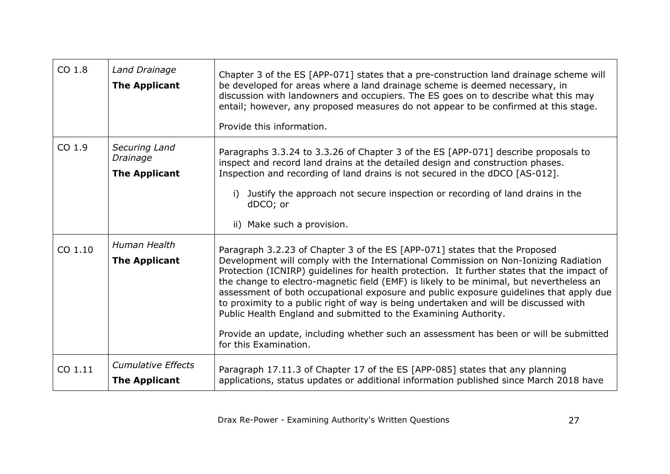| CO <sub>1.8</sub> | Land Drainage<br><b>The Applicant</b>             | Chapter 3 of the ES [APP-071] states that a pre-construction land drainage scheme will<br>be developed for areas where a land drainage scheme is deemed necessary, in<br>discussion with landowners and occupiers. The ES goes on to describe what this may<br>entail; however, any proposed measures do not appear to be confirmed at this stage.<br>Provide this information.                                                                                                                                                                                                                                                                                                                                                   |
|-------------------|---------------------------------------------------|-----------------------------------------------------------------------------------------------------------------------------------------------------------------------------------------------------------------------------------------------------------------------------------------------------------------------------------------------------------------------------------------------------------------------------------------------------------------------------------------------------------------------------------------------------------------------------------------------------------------------------------------------------------------------------------------------------------------------------------|
| CO 1.9            | Securing Land<br>Drainage<br><b>The Applicant</b> | Paragraphs 3.3.24 to 3.3.26 of Chapter 3 of the ES [APP-071] describe proposals to<br>inspect and record land drains at the detailed design and construction phases.<br>Inspection and recording of land drains is not secured in the dDCO [AS-012].<br>Justify the approach not secure inspection or recording of land drains in the<br>dDCO; or<br>ii) Make such a provision.                                                                                                                                                                                                                                                                                                                                                   |
| CO 1.10           | Human Health<br><b>The Applicant</b>              | Paragraph 3.2.23 of Chapter 3 of the ES [APP-071] states that the Proposed<br>Development will comply with the International Commission on Non-Ionizing Radiation<br>Protection (ICNIRP) guidelines for health protection. It further states that the impact of<br>the change to electro-magnetic field (EMF) is likely to be minimal, but nevertheless an<br>assessment of both occupational exposure and public exposure guidelines that apply due<br>to proximity to a public right of way is being undertaken and will be discussed with<br>Public Health England and submitted to the Examining Authority.<br>Provide an update, including whether such an assessment has been or will be submitted<br>for this Examination. |
| CO 1.11           | <b>Cumulative Effects</b><br><b>The Applicant</b> | Paragraph 17.11.3 of Chapter 17 of the ES [APP-085] states that any planning<br>applications, status updates or additional information published since March 2018 have                                                                                                                                                                                                                                                                                                                                                                                                                                                                                                                                                            |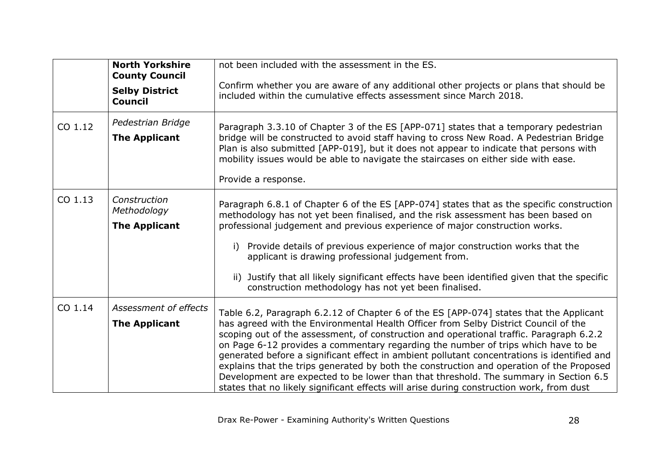|         | <b>North Yorkshire</b><br><b>County Council</b>     | not been included with the assessment in the ES.                                                                                                                                                                                                                                                                                                                                                                                                                                                                                                                                                                                                                                                                                             |
|---------|-----------------------------------------------------|----------------------------------------------------------------------------------------------------------------------------------------------------------------------------------------------------------------------------------------------------------------------------------------------------------------------------------------------------------------------------------------------------------------------------------------------------------------------------------------------------------------------------------------------------------------------------------------------------------------------------------------------------------------------------------------------------------------------------------------------|
|         | <b>Selby District</b><br><b>Council</b>             | Confirm whether you are aware of any additional other projects or plans that should be<br>included within the cumulative effects assessment since March 2018.                                                                                                                                                                                                                                                                                                                                                                                                                                                                                                                                                                                |
| CO 1.12 | Pedestrian Bridge<br><b>The Applicant</b>           | Paragraph 3.3.10 of Chapter 3 of the ES [APP-071] states that a temporary pedestrian<br>bridge will be constructed to avoid staff having to cross New Road. A Pedestrian Bridge<br>Plan is also submitted [APP-019], but it does not appear to indicate that persons with<br>mobility issues would be able to navigate the staircases on either side with ease.<br>Provide a response.                                                                                                                                                                                                                                                                                                                                                       |
| CO 1.13 | Construction<br>Methodology<br><b>The Applicant</b> | Paragraph 6.8.1 of Chapter 6 of the ES [APP-074] states that as the specific construction<br>methodology has not yet been finalised, and the risk assessment has been based on<br>professional judgement and previous experience of major construction works.<br>Provide details of previous experience of major construction works that the<br>i)<br>applicant is drawing professional judgement from.<br>ii) Justify that all likely significant effects have been identified given that the specific<br>construction methodology has not yet been finalised.                                                                                                                                                                              |
| CO 1.14 | Assessment of effects<br><b>The Applicant</b>       | Table 6.2, Paragraph 6.2.12 of Chapter 6 of the ES [APP-074] states that the Applicant<br>has agreed with the Environmental Health Officer from Selby District Council of the<br>scoping out of the assessment, of construction and operational traffic. Paragraph 6.2.2<br>on Page 6-12 provides a commentary regarding the number of trips which have to be<br>generated before a significant effect in ambient pollutant concentrations is identified and<br>explains that the trips generated by both the construction and operation of the Proposed<br>Development are expected to be lower than that threshold. The summary in Section 6.5<br>states that no likely significant effects will arise during construction work, from dust |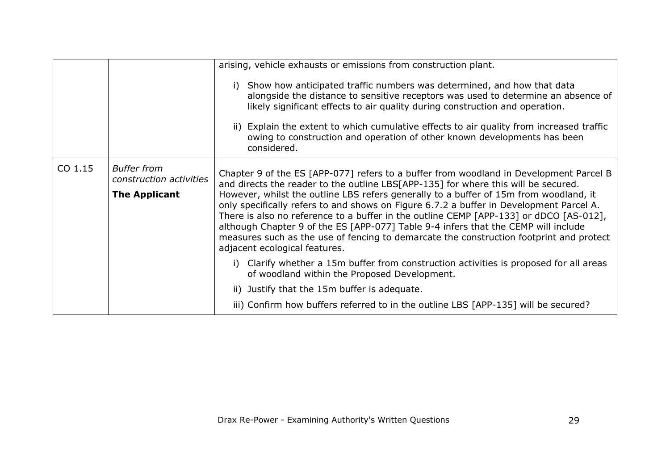|         |                                                                       | arising, vehicle exhausts or emissions from construction plant.<br>i) Show how anticipated traffic numbers was determined, and how that data<br>alongside the distance to sensitive receptors was used to determine an absence of<br>likely significant effects to air quality during construction and operation.<br>ii) Explain the extent to which cumulative effects to air quality from increased traffic<br>owing to construction and operation of other known developments has been<br>considered.                                                                                                                                                                     |
|---------|-----------------------------------------------------------------------|------------------------------------------------------------------------------------------------------------------------------------------------------------------------------------------------------------------------------------------------------------------------------------------------------------------------------------------------------------------------------------------------------------------------------------------------------------------------------------------------------------------------------------------------------------------------------------------------------------------------------------------------------------------------------|
| CO 1.15 | <b>Buffer from</b><br>construction activities<br><b>The Applicant</b> | Chapter 9 of the ES [APP-077] refers to a buffer from woodland in Development Parcel B<br>and directs the reader to the outline LBS[APP-135] for where this will be secured.<br>However, whilst the outline LBS refers generally to a buffer of 15m from woodland, it<br>only specifically refers to and shows on Figure 6.7.2 a buffer in Development Parcel A.<br>There is also no reference to a buffer in the outline CEMP [APP-133] or dDCO [AS-012],<br>although Chapter 9 of the ES [APP-077] Table 9-4 infers that the CEMP will include<br>measures such as the use of fencing to demarcate the construction footprint and protect<br>adjacent ecological features. |
|         |                                                                       | Clarify whether a 15m buffer from construction activities is proposed for all areas<br>i)<br>of woodland within the Proposed Development.                                                                                                                                                                                                                                                                                                                                                                                                                                                                                                                                    |
|         |                                                                       | ii) Justify that the 15m buffer is adequate.                                                                                                                                                                                                                                                                                                                                                                                                                                                                                                                                                                                                                                 |
|         |                                                                       | iii) Confirm how buffers referred to in the outline LBS [APP-135] will be secured?                                                                                                                                                                                                                                                                                                                                                                                                                                                                                                                                                                                           |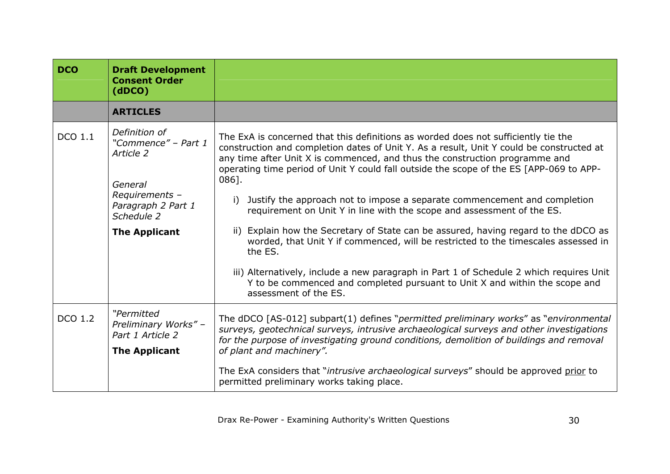<span id="page-29-0"></span>

| <b>DCO</b>     | <b>Draft Development</b><br><b>Consent Order</b><br>(dDCO)                                                                                 |                                                                                                                                                                                                                                                                                                                                                                                                                                                                                                                                                                                                                                                                                                                                                                                                                                                                                                                           |
|----------------|--------------------------------------------------------------------------------------------------------------------------------------------|---------------------------------------------------------------------------------------------------------------------------------------------------------------------------------------------------------------------------------------------------------------------------------------------------------------------------------------------------------------------------------------------------------------------------------------------------------------------------------------------------------------------------------------------------------------------------------------------------------------------------------------------------------------------------------------------------------------------------------------------------------------------------------------------------------------------------------------------------------------------------------------------------------------------------|
|                | <b>ARTICLES</b>                                                                                                                            |                                                                                                                                                                                                                                                                                                                                                                                                                                                                                                                                                                                                                                                                                                                                                                                                                                                                                                                           |
| DCO 1.1        | Definition of<br>"Commence" - Part 1<br>Article 2<br>General<br>Requirements -<br>Paragraph 2 Part 1<br>Schedule 2<br><b>The Applicant</b> | The ExA is concerned that this definitions as worded does not sufficiently tie the<br>construction and completion dates of Unit Y. As a result, Unit Y could be constructed at<br>any time after Unit X is commenced, and thus the construction programme and<br>operating time period of Unit Y could fall outside the scope of the ES [APP-069 to APP-<br>086].<br>Justify the approach not to impose a separate commencement and completion<br>i)<br>requirement on Unit Y in line with the scope and assessment of the ES.<br>ii) Explain how the Secretary of State can be assured, having regard to the dDCO as<br>worded, that Unit Y if commenced, will be restricted to the timescales assessed in<br>the ES.<br>iii) Alternatively, include a new paragraph in Part 1 of Schedule 2 which requires Unit<br>Y to be commenced and completed pursuant to Unit X and within the scope and<br>assessment of the ES. |
| <b>DCO 1.2</b> | "Permitted<br>Preliminary Works" -<br>Part 1 Article 2<br><b>The Applicant</b>                                                             | The dDCO [AS-012] subpart(1) defines "permitted preliminary works" as "environmental<br>surveys, geotechnical surveys, intrusive archaeological surveys and other investigations<br>for the purpose of investigating ground conditions, demolition of buildings and removal<br>of plant and machinery".<br>The ExA considers that "intrusive archaeological surveys" should be approved prior to<br>permitted preliminary works taking place.                                                                                                                                                                                                                                                                                                                                                                                                                                                                             |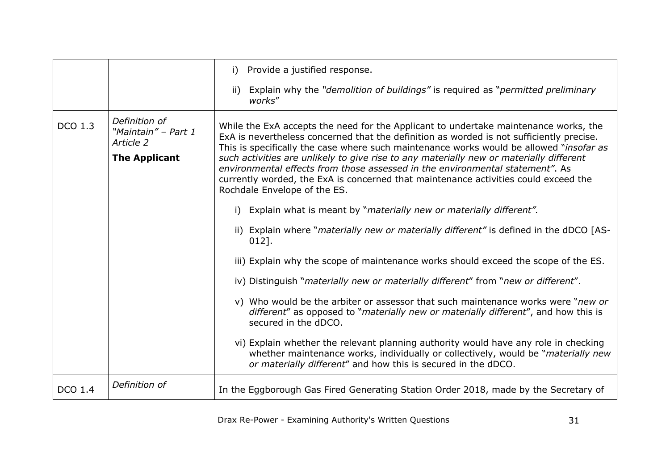|                |                                                                           | Provide a justified response.<br>i)                                                                                                                                                                                                                                                                                                                                                                                                                                                                                                                                            |
|----------------|---------------------------------------------------------------------------|--------------------------------------------------------------------------------------------------------------------------------------------------------------------------------------------------------------------------------------------------------------------------------------------------------------------------------------------------------------------------------------------------------------------------------------------------------------------------------------------------------------------------------------------------------------------------------|
|                |                                                                           | Explain why the " <i>demolition of buildings"</i> is required as " <i>permitted preliminary</i><br>ii)<br>works"                                                                                                                                                                                                                                                                                                                                                                                                                                                               |
| <b>DCO 1.3</b> | Definition of<br>"Maintain" - Part 1<br>Article 2<br><b>The Applicant</b> | While the ExA accepts the need for the Applicant to undertake maintenance works, the<br>ExA is nevertheless concerned that the definition as worded is not sufficiently precise.<br>This is specifically the case where such maintenance works would be allowed "insofar as<br>such activities are unlikely to give rise to any materially new or materially different<br>environmental effects from those assessed in the environmental statement". As<br>currently worded, the ExA is concerned that maintenance activities could exceed the<br>Rochdale Envelope of the ES. |
|                |                                                                           | i) Explain what is meant by "materially new or materially different".                                                                                                                                                                                                                                                                                                                                                                                                                                                                                                          |
|                |                                                                           | ii) Explain where " <i>materially new or materially different"</i> is defined in the dDCO [AS-<br>$012$ .                                                                                                                                                                                                                                                                                                                                                                                                                                                                      |
|                |                                                                           | iii) Explain why the scope of maintenance works should exceed the scope of the ES.                                                                                                                                                                                                                                                                                                                                                                                                                                                                                             |
|                |                                                                           | iv) Distinguish "materially new or materially different" from "new or different".                                                                                                                                                                                                                                                                                                                                                                                                                                                                                              |
|                |                                                                           | v) Who would be the arbiter or assessor that such maintenance works were "new or<br>different" as opposed to "materially new or materially different", and how this is<br>secured in the dDCO.                                                                                                                                                                                                                                                                                                                                                                                 |
|                |                                                                           | vi) Explain whether the relevant planning authority would have any role in checking<br>whether maintenance works, individually or collectively, would be "materially new<br>or materially different" and how this is secured in the dDCO.                                                                                                                                                                                                                                                                                                                                      |
| <b>DCO 1.4</b> | Definition of                                                             | In the Eggborough Gas Fired Generating Station Order 2018, made by the Secretary of                                                                                                                                                                                                                                                                                                                                                                                                                                                                                            |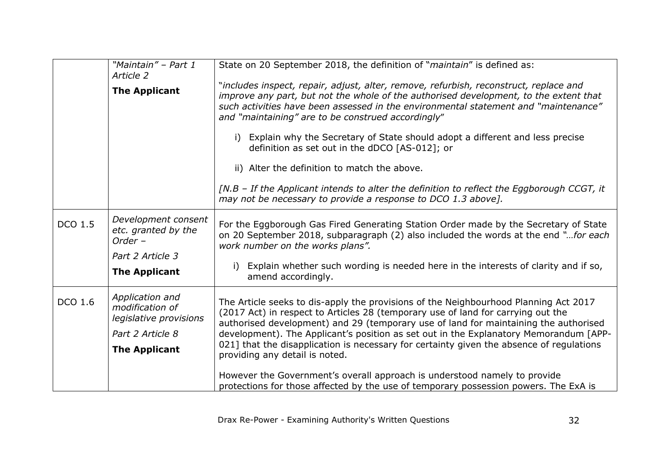|         | "Maintain" - Part 1<br>Article 2                                                                         | State on 20 September 2018, the definition of "maintain" is defined as:                                                                                                                                                                                                                                                                                                                                                                               |
|---------|----------------------------------------------------------------------------------------------------------|-------------------------------------------------------------------------------------------------------------------------------------------------------------------------------------------------------------------------------------------------------------------------------------------------------------------------------------------------------------------------------------------------------------------------------------------------------|
|         | <b>The Applicant</b>                                                                                     | "includes inspect, repair, adjust, alter, remove, refurbish, reconstruct, replace and<br>improve any part, but not the whole of the authorised development, to the extent that<br>such activities have been assessed in the environmental statement and "maintenance"<br>and "maintaining" are to be construed accordingly"                                                                                                                           |
|         |                                                                                                          | i) Explain why the Secretary of State should adopt a different and less precise<br>definition as set out in the dDCO [AS-012]; or                                                                                                                                                                                                                                                                                                                     |
|         |                                                                                                          | ii) Alter the definition to match the above.                                                                                                                                                                                                                                                                                                                                                                                                          |
|         |                                                                                                          | [N.B - If the Applicant intends to alter the definition to reflect the Eggborough CCGT, it<br>may not be necessary to provide a response to DCO 1.3 above].                                                                                                                                                                                                                                                                                           |
| DCO 1.5 | Development consent<br>etc. granted by the<br>Order -                                                    | For the Eggborough Gas Fired Generating Station Order made by the Secretary of State<br>on 20 September 2018, subparagraph (2) also included the words at the end "for each<br>work number on the works plans".                                                                                                                                                                                                                                       |
|         | Part 2 Article 3                                                                                         |                                                                                                                                                                                                                                                                                                                                                                                                                                                       |
|         | <b>The Applicant</b>                                                                                     | Explain whether such wording is needed here in the interests of clarity and if so,<br>amend accordingly.                                                                                                                                                                                                                                                                                                                                              |
| DCO 1.6 | Application and<br>modification of<br>legislative provisions<br>Part 2 Article 8<br><b>The Applicant</b> | The Article seeks to dis-apply the provisions of the Neighbourhood Planning Act 2017<br>(2017 Act) in respect to Articles 28 (temporary use of land for carrying out the<br>authorised development) and 29 (temporary use of land for maintaining the authorised<br>development). The Applicant's position as set out in the Explanatory Memorandum [APP-<br>021] that the disapplication is necessary for certainty given the absence of regulations |
|         |                                                                                                          | providing any detail is noted.<br>However the Government's overall approach is understood namely to provide<br>protections for those affected by the use of temporary possession powers. The ExA is                                                                                                                                                                                                                                                   |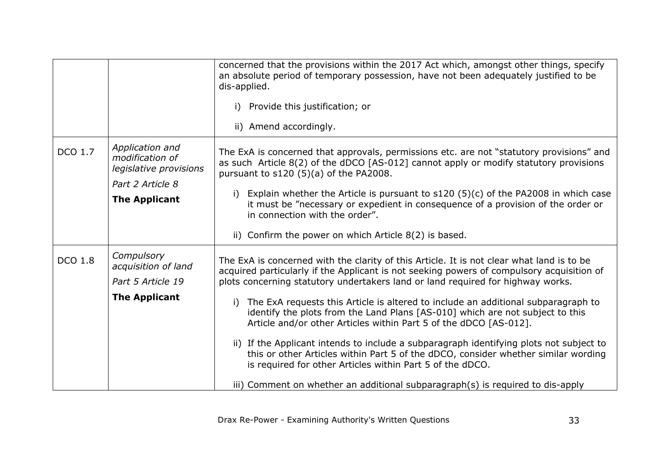|                |                                                                                                          | concerned that the provisions within the 2017 Act which, amongst other things, specify<br>an absolute period of temporary possession, have not been adequately justified to be<br>dis-applied.<br>Provide this justification; or<br>i)<br>ii) Amend accordingly.                                                                                                                                                                                                                                                                                                                                                                                                                                                                                                                                                                                           |
|----------------|----------------------------------------------------------------------------------------------------------|------------------------------------------------------------------------------------------------------------------------------------------------------------------------------------------------------------------------------------------------------------------------------------------------------------------------------------------------------------------------------------------------------------------------------------------------------------------------------------------------------------------------------------------------------------------------------------------------------------------------------------------------------------------------------------------------------------------------------------------------------------------------------------------------------------------------------------------------------------|
| DCO 1.7        | Application and<br>modification of<br>legislative provisions<br>Part 2 Article 8<br><b>The Applicant</b> | The ExA is concerned that approvals, permissions etc. are not "statutory provisions" and<br>as such Article 8(2) of the dDCO [AS-012] cannot apply or modify statutory provisions<br>pursuant to s120 (5)(a) of the PA2008.<br>Explain whether the Article is pursuant to $s120$ (5)(c) of the PA2008 in which case<br>i)<br>it must be "necessary or expedient in consequence of a provision of the order or<br>in connection with the order".<br>ii) Confirm the power on which Article 8(2) is based.                                                                                                                                                                                                                                                                                                                                                   |
| <b>DCO 1.8</b> | Compulsory<br>acquisition of land<br>Part 5 Article 19<br><b>The Applicant</b>                           | The ExA is concerned with the clarity of this Article. It is not clear what land is to be<br>acquired particularly if the Applicant is not seeking powers of compulsory acquisition of<br>plots concerning statutory undertakers land or land required for highway works.<br>The ExA requests this Article is altered to include an additional subparagraph to<br>i)<br>identify the plots from the Land Plans [AS-010] which are not subject to this<br>Article and/or other Articles within Part 5 of the dDCO [AS-012].<br>ii) If the Applicant intends to include a subparagraph identifying plots not subject to<br>this or other Articles within Part 5 of the dDCO, consider whether similar wording<br>is required for other Articles within Part 5 of the dDCO.<br>iii) Comment on whether an additional subparagraph(s) is required to dis-apply |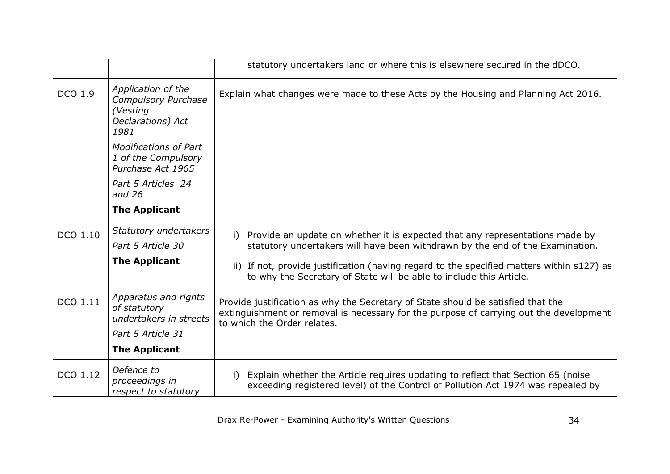|          |                                                                                           | statutory undertakers land or where this is elsewhere secured in the dDCO.                                                                                                                                |
|----------|-------------------------------------------------------------------------------------------|-----------------------------------------------------------------------------------------------------------------------------------------------------------------------------------------------------------|
| DCO 1.9  | Application of the<br><b>Compulsory Purchase</b><br>(Vesting<br>Declarations) Act<br>1981 | Explain what changes were made to these Acts by the Housing and Planning Act 2016.                                                                                                                        |
|          | <b>Modifications of Part</b><br>1 of the Compulsory<br>Purchase Act 1965                  |                                                                                                                                                                                                           |
|          | Part 5 Articles 24<br>and $26$                                                            |                                                                                                                                                                                                           |
|          | <b>The Applicant</b>                                                                      |                                                                                                                                                                                                           |
| DCO 1.10 | Statutory undertakers                                                                     | Provide an update on whether it is expected that any representations made by<br>i)                                                                                                                        |
|          | Part 5 Article 30                                                                         | statutory undertakers will have been withdrawn by the end of the Examination.                                                                                                                             |
|          | <b>The Applicant</b>                                                                      | ii) If not, provide justification (having regard to the specified matters within s127) as<br>to why the Secretary of State will be able to include this Article.                                          |
| DCO 1.11 | Apparatus and rights<br>of statutory<br>undertakers in streets                            | Provide justification as why the Secretary of State should be satisfied that the<br>extinguishment or removal is necessary for the purpose of carrying out the development<br>to which the Order relates. |
|          | Part 5 Article 31                                                                         |                                                                                                                                                                                                           |
|          | <b>The Applicant</b>                                                                      |                                                                                                                                                                                                           |
| DCO 1.12 | Defence to<br>proceedings in<br>respect to statutory                                      | Explain whether the Article requires updating to reflect that Section 65 (noise<br>i)<br>exceeding registered level) of the Control of Pollution Act 1974 was repealed by                                 |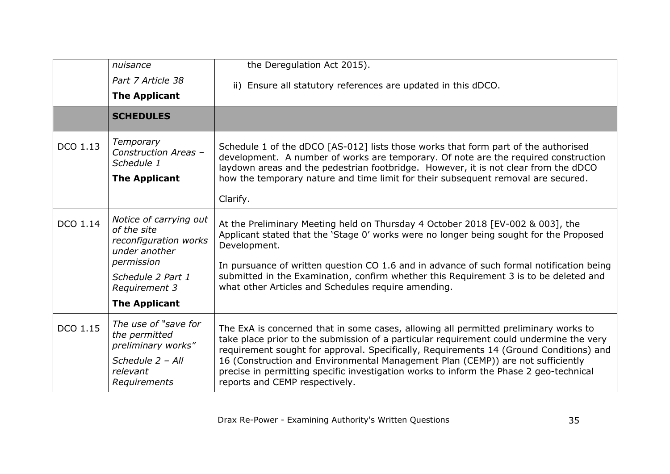|          | nuisance                                                                                                    | the Deregulation Act 2015).                                                                                                                                                                                                                                                                                                                                                                                                                                                              |
|----------|-------------------------------------------------------------------------------------------------------------|------------------------------------------------------------------------------------------------------------------------------------------------------------------------------------------------------------------------------------------------------------------------------------------------------------------------------------------------------------------------------------------------------------------------------------------------------------------------------------------|
|          | Part 7 Article 38                                                                                           | ii) Ensure all statutory references are updated in this dDCO.                                                                                                                                                                                                                                                                                                                                                                                                                            |
|          | <b>The Applicant</b>                                                                                        |                                                                                                                                                                                                                                                                                                                                                                                                                                                                                          |
|          | <b>SCHEDULES</b>                                                                                            |                                                                                                                                                                                                                                                                                                                                                                                                                                                                                          |
| DCO 1.13 | Temporary<br>Construction Areas -<br>Schedule 1                                                             | Schedule 1 of the dDCO [AS-012] lists those works that form part of the authorised<br>development. A number of works are temporary. Of note are the required construction<br>laydown areas and the pedestrian footbridge. However, it is not clear from the dDCO                                                                                                                                                                                                                         |
|          | <b>The Applicant</b>                                                                                        | how the temporary nature and time limit for their subsequent removal are secured.                                                                                                                                                                                                                                                                                                                                                                                                        |
|          |                                                                                                             | Clarify.                                                                                                                                                                                                                                                                                                                                                                                                                                                                                 |
| DCO 1.14 | Notice of carrying out<br>of the site<br>reconfiguration works<br>under another<br>permission               | At the Preliminary Meeting held on Thursday 4 October 2018 [EV-002 & 003], the<br>Applicant stated that the 'Stage 0' works were no longer being sought for the Proposed<br>Development.                                                                                                                                                                                                                                                                                                 |
|          | Schedule 2 Part 1<br>Requirement 3                                                                          | In pursuance of written question CO 1.6 and in advance of such formal notification being<br>submitted in the Examination, confirm whether this Requirement 3 is to be deleted and<br>what other Articles and Schedules require amending.                                                                                                                                                                                                                                                 |
|          | <b>The Applicant</b>                                                                                        |                                                                                                                                                                                                                                                                                                                                                                                                                                                                                          |
| DCO 1.15 | The use of "save for<br>the permitted<br>preliminary works"<br>Schedule 2 - All<br>relevant<br>Requirements | The ExA is concerned that in some cases, allowing all permitted preliminary works to<br>take place prior to the submission of a particular requirement could undermine the very<br>requirement sought for approval. Specifically, Requirements 14 (Ground Conditions) and<br>16 (Construction and Environmental Management Plan (CEMP)) are not sufficiently<br>precise in permitting specific investigation works to inform the Phase 2 geo-technical<br>reports and CEMP respectively. |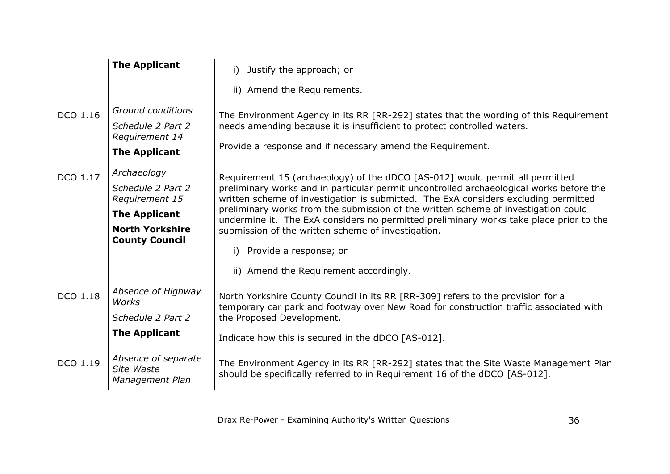|          | <b>The Applicant</b>                                                                                                          | Justify the approach; or<br>i).                                                                                                                                                                                                                                                                                                                                                                                                                                                                                                                                          |
|----------|-------------------------------------------------------------------------------------------------------------------------------|--------------------------------------------------------------------------------------------------------------------------------------------------------------------------------------------------------------------------------------------------------------------------------------------------------------------------------------------------------------------------------------------------------------------------------------------------------------------------------------------------------------------------------------------------------------------------|
|          |                                                                                                                               | ii) Amend the Requirements.                                                                                                                                                                                                                                                                                                                                                                                                                                                                                                                                              |
| DCO 1.16 | Ground conditions                                                                                                             | The Environment Agency in its RR [RR-292] states that the wording of this Requirement                                                                                                                                                                                                                                                                                                                                                                                                                                                                                    |
|          | Schedule 2 Part 2<br>Requirement 14                                                                                           | needs amending because it is insufficient to protect controlled waters.                                                                                                                                                                                                                                                                                                                                                                                                                                                                                                  |
|          | <b>The Applicant</b>                                                                                                          | Provide a response and if necessary amend the Requirement.                                                                                                                                                                                                                                                                                                                                                                                                                                                                                                               |
| DCO 1.17 | Archaeology<br>Schedule 2 Part 2<br>Requirement 15<br><b>The Applicant</b><br><b>North Yorkshire</b><br><b>County Council</b> | Requirement 15 (archaeology) of the dDCO [AS-012] would permit all permitted<br>preliminary works and in particular permit uncontrolled archaeological works before the<br>written scheme of investigation is submitted. The ExA considers excluding permitted<br>preliminary works from the submission of the written scheme of investigation could<br>undermine it. The ExA considers no permitted preliminary works take place prior to the<br>submission of the written scheme of investigation.<br>Provide a response; or<br>ii) Amend the Requirement accordingly. |
| DCO 1.18 | Absence of Highway<br>Works<br>Schedule 2 Part 2                                                                              | North Yorkshire County Council in its RR [RR-309] refers to the provision for a<br>temporary car park and footway over New Road for construction traffic associated with<br>the Proposed Development.                                                                                                                                                                                                                                                                                                                                                                    |
|          | <b>The Applicant</b>                                                                                                          | Indicate how this is secured in the dDCO [AS-012].                                                                                                                                                                                                                                                                                                                                                                                                                                                                                                                       |
| DCO 1.19 | Absence of separate<br>Site Waste<br>Management Plan                                                                          | The Environment Agency in its RR [RR-292] states that the Site Waste Management Plan<br>should be specifically referred to in Requirement 16 of the dDCO [AS-012].                                                                                                                                                                                                                                                                                                                                                                                                       |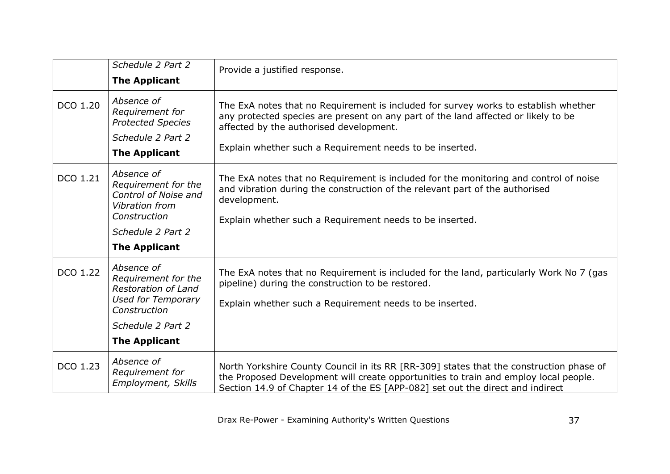|          | Schedule 2 Part 2                                                                                                                        | Provide a justified response.                                                                                                                                                                                                                                                    |
|----------|------------------------------------------------------------------------------------------------------------------------------------------|----------------------------------------------------------------------------------------------------------------------------------------------------------------------------------------------------------------------------------------------------------------------------------|
|          | <b>The Applicant</b>                                                                                                                     |                                                                                                                                                                                                                                                                                  |
| DCO 1.20 | Absence of<br>Requirement for<br><b>Protected Species</b><br>Schedule 2 Part 2<br><b>The Applicant</b>                                   | The ExA notes that no Requirement is included for survey works to establish whether<br>any protected species are present on any part of the land affected or likely to be<br>affected by the authorised development.<br>Explain whether such a Requirement needs to be inserted. |
| DCO 1.21 | Absence of<br>Requirement for the<br>Control of Noise and<br>Vibration from<br>Construction<br>Schedule 2 Part 2<br><b>The Applicant</b> | The ExA notes that no Requirement is included for the monitoring and control of noise<br>and vibration during the construction of the relevant part of the authorised<br>development.<br>Explain whether such a Requirement needs to be inserted.                                |
|          |                                                                                                                                          |                                                                                                                                                                                                                                                                                  |
| DCO 1.22 | Absence of<br>Requirement for the<br><b>Restoration of Land</b><br><b>Used for Temporary</b><br>Construction<br>Schedule 2 Part 2        | The ExA notes that no Requirement is included for the land, particularly Work No 7 (gas<br>pipeline) during the construction to be restored.<br>Explain whether such a Requirement needs to be inserted.                                                                         |
|          |                                                                                                                                          |                                                                                                                                                                                                                                                                                  |
|          | <b>The Applicant</b>                                                                                                                     |                                                                                                                                                                                                                                                                                  |
| DCO 1.23 | Absence of<br>Requirement for<br><b>Employment, Skills</b>                                                                               | North Yorkshire County Council in its RR [RR-309] states that the construction phase of<br>the Proposed Development will create opportunities to train and employ local people.<br>Section 14.9 of Chapter 14 of the ES [APP-082] set out the direct and indirect                |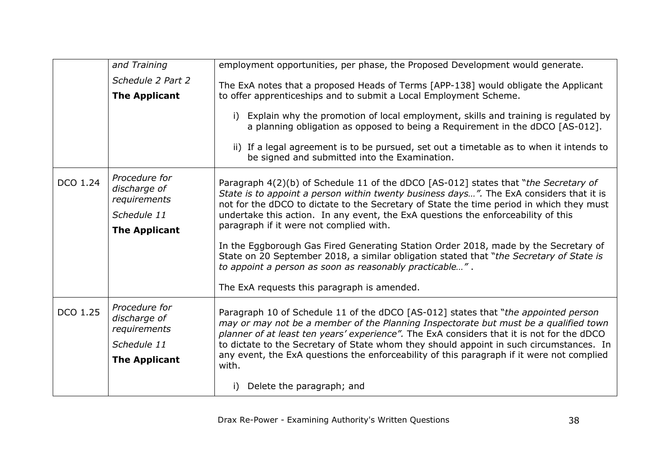|          | and Training                                                                         | employment opportunities, per phase, the Proposed Development would generate.                                                                                                                                                                                                                                                                                                                              |
|----------|--------------------------------------------------------------------------------------|------------------------------------------------------------------------------------------------------------------------------------------------------------------------------------------------------------------------------------------------------------------------------------------------------------------------------------------------------------------------------------------------------------|
|          | Schedule 2 Part 2<br><b>The Applicant</b>                                            | The ExA notes that a proposed Heads of Terms [APP-138] would obligate the Applicant<br>to offer apprenticeships and to submit a Local Employment Scheme.                                                                                                                                                                                                                                                   |
|          |                                                                                      | Explain why the promotion of local employment, skills and training is regulated by<br>i)<br>a planning obligation as opposed to being a Requirement in the dDCO [AS-012].                                                                                                                                                                                                                                  |
|          |                                                                                      | ii) If a legal agreement is to be pursued, set out a timetable as to when it intends to<br>be signed and submitted into the Examination.                                                                                                                                                                                                                                                                   |
| DCO 1.24 | Procedure for<br>discharge of<br>requirements<br>Schedule 11<br><b>The Applicant</b> | Paragraph 4(2)(b) of Schedule 11 of the dDCO [AS-012] states that "the Secretary of<br>State is to appoint a person within twenty business days". The ExA considers that it is<br>not for the dDCO to dictate to the Secretary of State the time period in which they must<br>undertake this action. In any event, the ExA questions the enforceability of this<br>paragraph if it were not complied with. |
|          |                                                                                      | In the Eggborough Gas Fired Generating Station Order 2018, made by the Secretary of<br>State on 20 September 2018, a similar obligation stated that "the Secretary of State is<br>to appoint a person as soon as reasonably practicable".                                                                                                                                                                  |
|          |                                                                                      | The ExA requests this paragraph is amended.                                                                                                                                                                                                                                                                                                                                                                |
| DCO 1.25 | Procedure for<br>discharge of<br>requirements<br>Schedule 11                         | Paragraph 10 of Schedule 11 of the dDCO [AS-012] states that "the appointed person<br>may or may not be a member of the Planning Inspectorate but must be a qualified town<br>planner of at least ten years' experience". The ExA considers that it is not for the dDCO<br>to dictate to the Secretary of State whom they should appoint in such circumstances. In                                         |
|          | <b>The Applicant</b>                                                                 | any event, the ExA questions the enforceability of this paragraph if it were not complied<br>with.                                                                                                                                                                                                                                                                                                         |
|          |                                                                                      | Delete the paragraph; and                                                                                                                                                                                                                                                                                                                                                                                  |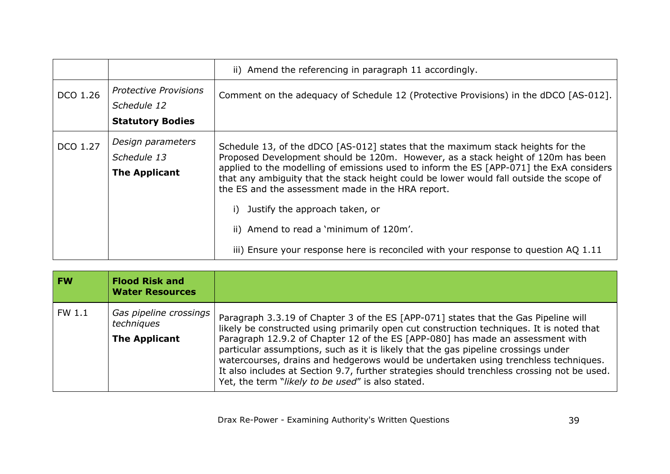|          |                                                                        | ii) Amend the referencing in paragraph 11 accordingly.                                                                                                                                                                                                                                                                                                                                                                                                                                                                                                                            |
|----------|------------------------------------------------------------------------|-----------------------------------------------------------------------------------------------------------------------------------------------------------------------------------------------------------------------------------------------------------------------------------------------------------------------------------------------------------------------------------------------------------------------------------------------------------------------------------------------------------------------------------------------------------------------------------|
| DCO 1.26 | <b>Protective Provisions</b><br>Schedule 12<br><b>Statutory Bodies</b> | Comment on the adequacy of Schedule 12 (Protective Provisions) in the dDCO [AS-012].                                                                                                                                                                                                                                                                                                                                                                                                                                                                                              |
| DCO 1.27 | Design parameters<br>Schedule 13<br><b>The Applicant</b>               | Schedule 13, of the dDCO [AS-012] states that the maximum stack heights for the<br>Proposed Development should be 120m. However, as a stack height of 120m has been<br>applied to the modelling of emissions used to inform the ES [APP-071] the ExA considers<br>that any ambiguity that the stack height could be lower would fall outside the scope of<br>the ES and the assessment made in the HRA report.<br>Justify the approach taken, or<br>ii) Amend to read a 'minimum of 120m'.<br>iii) Ensure your response here is reconciled with your response to question AQ 1.11 |

<span id="page-38-0"></span>

| <b>FW</b> | <b>Flood Risk and</b><br><b>Water Resources</b>              |                                                                                                                                                                                                                                                                                                                                                                                                                                                                                                                                                                                                    |
|-----------|--------------------------------------------------------------|----------------------------------------------------------------------------------------------------------------------------------------------------------------------------------------------------------------------------------------------------------------------------------------------------------------------------------------------------------------------------------------------------------------------------------------------------------------------------------------------------------------------------------------------------------------------------------------------------|
| FW 1.1    | Gas pipeline crossings<br>techniques<br><b>The Applicant</b> | Paragraph 3.3.19 of Chapter 3 of the ES [APP-071] states that the Gas Pipeline will<br>likely be constructed using primarily open cut construction techniques. It is noted that<br>Paragraph 12.9.2 of Chapter 12 of the ES [APP-080] has made an assessment with<br>particular assumptions, such as it is likely that the gas pipeline crossings under<br>watercourses, drains and hedgerows would be undertaken using trenchless techniques.<br>It also includes at Section 9.7, further strategies should trenchless crossing not be used.<br>Yet, the term "likely to be used" is also stated. |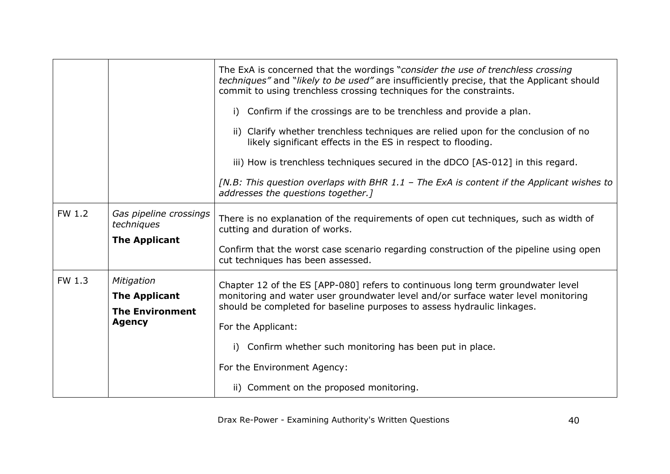|        |                                                              | The ExA is concerned that the wordings "consider the use of trenchless crossing<br>techniques" and "likely to be used" are insufficiently precise, that the Applicant should<br>commit to using trenchless crossing techniques for the constraints. |
|--------|--------------------------------------------------------------|-----------------------------------------------------------------------------------------------------------------------------------------------------------------------------------------------------------------------------------------------------|
|        |                                                              | Confirm if the crossings are to be trenchless and provide a plan.<br>i)                                                                                                                                                                             |
|        |                                                              | ii) Clarify whether trenchless techniques are relied upon for the conclusion of no<br>likely significant effects in the ES in respect to flooding.                                                                                                  |
|        |                                                              | iii) How is trenchless techniques secured in the dDCO [AS-012] in this regard.                                                                                                                                                                      |
|        |                                                              | [N.B: This question overlaps with BHR 1.1 - The ExA is content if the Applicant wishes to<br>addresses the questions together.]                                                                                                                     |
| FW 1.2 | Gas pipeline crossings<br>techniques<br><b>The Applicant</b> | There is no explanation of the requirements of open cut techniques, such as width of<br>cutting and duration of works.                                                                                                                              |
|        |                                                              | Confirm that the worst case scenario regarding construction of the pipeline using open<br>cut techniques has been assessed.                                                                                                                         |
| FW 1.3 | Mitigation<br><b>The Applicant</b><br><b>The Environment</b> | Chapter 12 of the ES [APP-080] refers to continuous long term groundwater level<br>monitoring and water user groundwater level and/or surface water level monitoring<br>should be completed for baseline purposes to assess hydraulic linkages.     |
|        | <b>Agency</b>                                                | For the Applicant:                                                                                                                                                                                                                                  |
|        |                                                              | Confirm whether such monitoring has been put in place.<br>i)                                                                                                                                                                                        |
|        |                                                              | For the Environment Agency:                                                                                                                                                                                                                         |
|        |                                                              | ii) Comment on the proposed monitoring.                                                                                                                                                                                                             |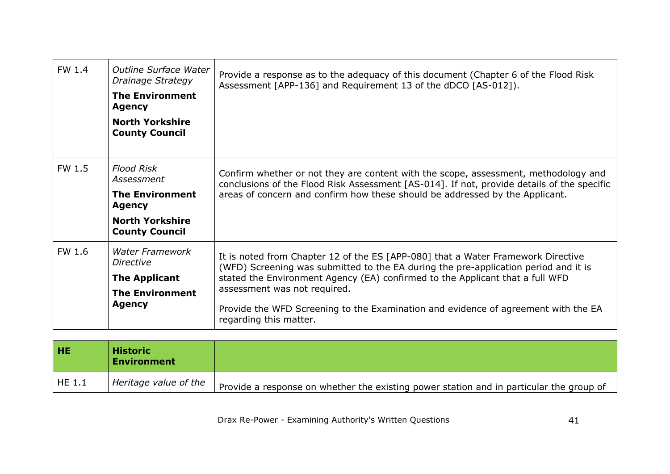| FW 1.4 | <b>Outline Surface Water</b><br>Drainage Strategy<br><b>The Environment</b><br><b>Agency</b><br><b>North Yorkshire</b><br><b>County Council</b> | Provide a response as to the adequacy of this document (Chapter 6 of the Flood Risk<br>Assessment [APP-136] and Requirement 13 of the dDCO [AS-012]).                                                                                                                                                                                                                                                    |
|--------|-------------------------------------------------------------------------------------------------------------------------------------------------|----------------------------------------------------------------------------------------------------------------------------------------------------------------------------------------------------------------------------------------------------------------------------------------------------------------------------------------------------------------------------------------------------------|
| FW 1.5 | <b>Flood Risk</b><br>Assessment<br><b>The Environment</b><br><b>Agency</b><br><b>North Yorkshire</b><br><b>County Council</b>                   | Confirm whether or not they are content with the scope, assessment, methodology and<br>conclusions of the Flood Risk Assessment [AS-014]. If not, provide details of the specific<br>areas of concern and confirm how these should be addressed by the Applicant.                                                                                                                                        |
| FW 1.6 | <b>Water Framework</b><br><b>Directive</b><br><b>The Applicant</b><br><b>The Environment</b><br><b>Agency</b>                                   | It is noted from Chapter 12 of the ES [APP-080] that a Water Framework Directive<br>(WFD) Screening was submitted to the EA during the pre-application period and it is<br>stated the Environment Agency (EA) confirmed to the Applicant that a full WFD<br>assessment was not required.<br>Provide the WFD Screening to the Examination and evidence of agreement with the EA<br>regarding this matter. |

<span id="page-40-0"></span>

| і не       | <b>Historic</b><br><b>Environment</b> |                                                                                         |
|------------|---------------------------------------|-----------------------------------------------------------------------------------------|
| $'$ HE 1.1 | Heritage value of the                 | Provide a response on whether the existing power station and in particular the group of |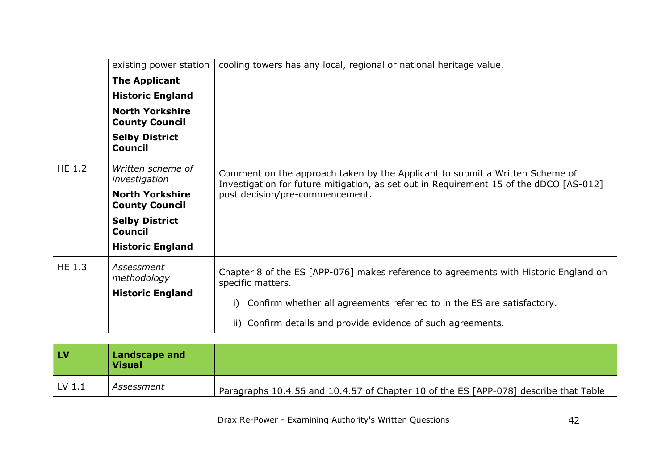|               | existing power station                          | cooling towers has any local, regional or national heritage value.                                                                                                     |
|---------------|-------------------------------------------------|------------------------------------------------------------------------------------------------------------------------------------------------------------------------|
|               | <b>The Applicant</b>                            |                                                                                                                                                                        |
|               | <b>Historic England</b>                         |                                                                                                                                                                        |
|               | <b>North Yorkshire</b><br><b>County Council</b> |                                                                                                                                                                        |
|               | <b>Selby District</b><br><b>Council</b>         |                                                                                                                                                                        |
| <b>HE 1.2</b> | Written scheme of<br>investigation              | Comment on the approach taken by the Applicant to submit a Written Scheme of<br>Investigation for future mitigation, as set out in Requirement 15 of the dDCO [AS-012] |
|               | <b>North Yorkshire</b><br><b>County Council</b> | post decision/pre-commencement.                                                                                                                                        |
|               | <b>Selby District</b><br><b>Council</b>         |                                                                                                                                                                        |
|               | <b>Historic England</b>                         |                                                                                                                                                                        |
| <b>HE 1.3</b> | Assessment<br>methodology                       | Chapter 8 of the ES [APP-076] makes reference to agreements with Historic England on<br>specific matters.                                                              |
|               | <b>Historic England</b>                         | Confirm whether all agreements referred to in the ES are satisfactory.<br>i)                                                                                           |
|               |                                                 | ii) Confirm details and provide evidence of such agreements.                                                                                                           |

<span id="page-41-0"></span>

| <b>LV</b>         | Landscape and<br><b>Visual</b> |                                                                                      |
|-------------------|--------------------------------|--------------------------------------------------------------------------------------|
| LV <sub>1.1</sub> | Assessment                     | Paragraphs 10.4.56 and 10.4.57 of Chapter 10 of the ES [APP-078] describe that Table |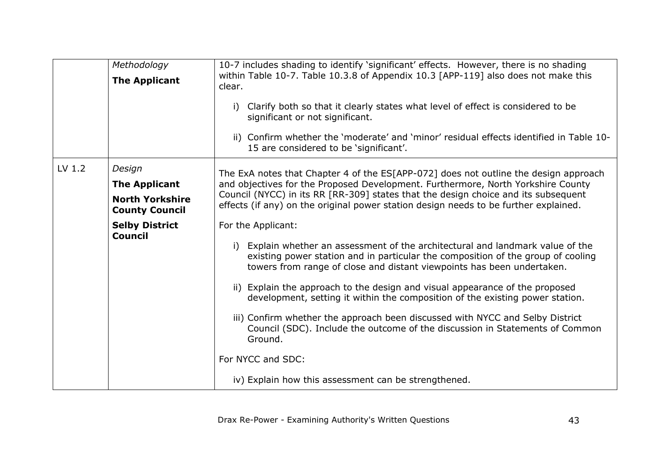|        | Methodology<br><b>The Applicant</b>                                                                                          | 10-7 includes shading to identify 'significant' effects. However, there is no shading<br>within Table 10-7. Table 10.3.8 of Appendix 10.3 [APP-119] also does not make this<br>clear.<br>Clarify both so that it clearly states what level of effect is considered to be<br>i)<br>significant or not significant.<br>ii) Confirm whether the 'moderate' and 'minor' residual effects identified in Table 10-<br>15 are considered to be 'significant'.                                                                                                                                                                                                                                                                                                                                                                                                                                                                                                                                                                                                  |
|--------|------------------------------------------------------------------------------------------------------------------------------|---------------------------------------------------------------------------------------------------------------------------------------------------------------------------------------------------------------------------------------------------------------------------------------------------------------------------------------------------------------------------------------------------------------------------------------------------------------------------------------------------------------------------------------------------------------------------------------------------------------------------------------------------------------------------------------------------------------------------------------------------------------------------------------------------------------------------------------------------------------------------------------------------------------------------------------------------------------------------------------------------------------------------------------------------------|
| LV 1.2 | Design<br><b>The Applicant</b><br><b>North Yorkshire</b><br><b>County Council</b><br><b>Selby District</b><br><b>Council</b> | The ExA notes that Chapter 4 of the ES[APP-072] does not outline the design approach<br>and objectives for the Proposed Development. Furthermore, North Yorkshire County<br>Council (NYCC) in its RR [RR-309] states that the design choice and its subsequent<br>effects (if any) on the original power station design needs to be further explained.<br>For the Applicant:<br>i) Explain whether an assessment of the architectural and landmark value of the<br>existing power station and in particular the composition of the group of cooling<br>towers from range of close and distant viewpoints has been undertaken.<br>ii) Explain the approach to the design and visual appearance of the proposed<br>development, setting it within the composition of the existing power station.<br>iii) Confirm whether the approach been discussed with NYCC and Selby District<br>Council (SDC). Include the outcome of the discussion in Statements of Common<br>Ground.<br>For NYCC and SDC:<br>iv) Explain how this assessment can be strengthened. |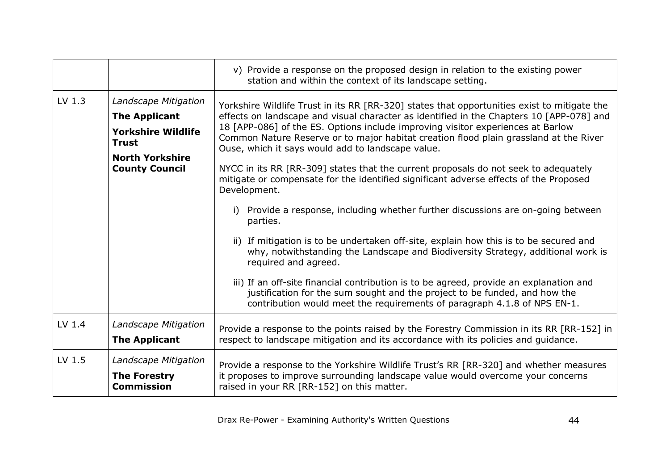|        |                                                                                                                                              | v) Provide a response on the proposed design in relation to the existing power<br>station and within the context of its landscape setting.                                                                                                                                                                                                                                                                                                                                                                                                                                                                                                                                                                                                                                                                                                                                                                                                                                                                                                                                                                                                                                            |
|--------|----------------------------------------------------------------------------------------------------------------------------------------------|---------------------------------------------------------------------------------------------------------------------------------------------------------------------------------------------------------------------------------------------------------------------------------------------------------------------------------------------------------------------------------------------------------------------------------------------------------------------------------------------------------------------------------------------------------------------------------------------------------------------------------------------------------------------------------------------------------------------------------------------------------------------------------------------------------------------------------------------------------------------------------------------------------------------------------------------------------------------------------------------------------------------------------------------------------------------------------------------------------------------------------------------------------------------------------------|
| LV 1.3 | Landscape Mitigation<br><b>The Applicant</b><br><b>Yorkshire Wildlife</b><br><b>Trust</b><br><b>North Yorkshire</b><br><b>County Council</b> | Yorkshire Wildlife Trust in its RR [RR-320] states that opportunities exist to mitigate the<br>effects on landscape and visual character as identified in the Chapters 10 [APP-078] and<br>18 [APP-086] of the ES. Options include improving visitor experiences at Barlow<br>Common Nature Reserve or to major habitat creation flood plain grassland at the River<br>Ouse, which it says would add to landscape value.<br>NYCC in its RR [RR-309] states that the current proposals do not seek to adequately<br>mitigate or compensate for the identified significant adverse effects of the Proposed<br>Development.<br>Provide a response, including whether further discussions are on-going between<br>i)<br>parties.<br>ii) If mitigation is to be undertaken off-site, explain how this is to be secured and<br>why, notwithstanding the Landscape and Biodiversity Strategy, additional work is<br>required and agreed.<br>iii) If an off-site financial contribution is to be agreed, provide an explanation and<br>justification for the sum sought and the project to be funded, and how the<br>contribution would meet the requirements of paragraph 4.1.8 of NPS EN-1. |
| LV 1.4 | Landscape Mitigation<br><b>The Applicant</b>                                                                                                 | Provide a response to the points raised by the Forestry Commission in its RR [RR-152] in<br>respect to landscape mitigation and its accordance with its policies and guidance.                                                                                                                                                                                                                                                                                                                                                                                                                                                                                                                                                                                                                                                                                                                                                                                                                                                                                                                                                                                                        |
| LV 1.5 | Landscape Mitigation<br><b>The Forestry</b><br><b>Commission</b>                                                                             | Provide a response to the Yorkshire Wildlife Trust's RR [RR-320] and whether measures<br>it proposes to improve surrounding landscape value would overcome your concerns<br>raised in your RR [RR-152] on this matter.                                                                                                                                                                                                                                                                                                                                                                                                                                                                                                                                                                                                                                                                                                                                                                                                                                                                                                                                                                |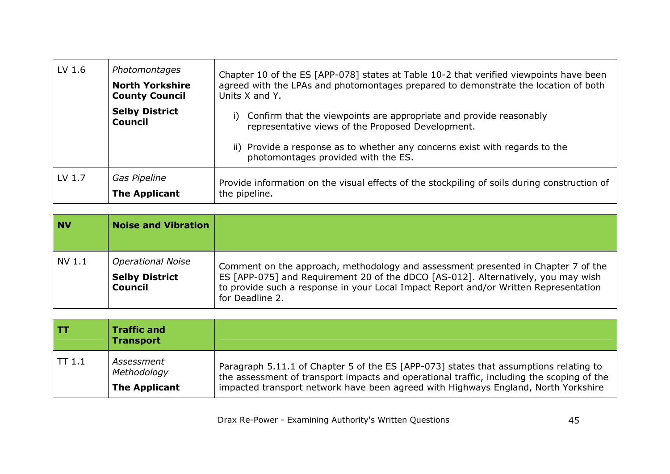| LV 1.6 | Photomontages<br><b>North Yorkshire</b><br><b>County Council</b> | Chapter 10 of the ES [APP-078] states at Table 10-2 that verified viewpoints have been<br>agreed with the LPAs and photomontages prepared to demonstrate the location of both<br>Units X and Y.                                                     |
|--------|------------------------------------------------------------------|-----------------------------------------------------------------------------------------------------------------------------------------------------------------------------------------------------------------------------------------------------|
|        | <b>Selby District</b><br><b>Council</b>                          | Confirm that the viewpoints are appropriate and provide reasonably<br>i)<br>representative views of the Proposed Development.<br>ii) Provide a response as to whether any concerns exist with regards to the<br>photomontages provided with the ES. |
| LV 1.7 | Gas Pipeline<br><b>The Applicant</b>                             | Provide information on the visual effects of the stockpiling of soils during construction of<br>the pipeline.                                                                                                                                       |

<span id="page-44-1"></span>

| l NV   | <b>Noise and Vibration</b>                                          |                                                                                                                                                                                                                                                                                   |
|--------|---------------------------------------------------------------------|-----------------------------------------------------------------------------------------------------------------------------------------------------------------------------------------------------------------------------------------------------------------------------------|
| NV 1.1 | <b>Operational Noise</b><br><b>Selby District</b><br><b>Council</b> | Comment on the approach, methodology and assessment presented in Chapter 7 of the<br>ES [APP-075] and Requirement 20 of the dDCO [AS-012]. Alternatively, you may wish<br>to provide such a response in your Local Impact Report and/or Written Representation<br>for Deadline 2. |

<span id="page-44-0"></span>

| I TT  | <b>Traffic and</b><br><b>Transport</b>            |                                                                                                                                                                                                                                                                          |
|-------|---------------------------------------------------|--------------------------------------------------------------------------------------------------------------------------------------------------------------------------------------------------------------------------------------------------------------------------|
| TT1.1 | Assessment<br>Methodology<br><b>The Applicant</b> | Paragraph 5.11.1 of Chapter 5 of the ES [APP-073] states that assumptions relating to<br>the assessment of transport impacts and operational traffic, including the scoping of the<br>impacted transport network have been agreed with Highways England, North Yorkshire |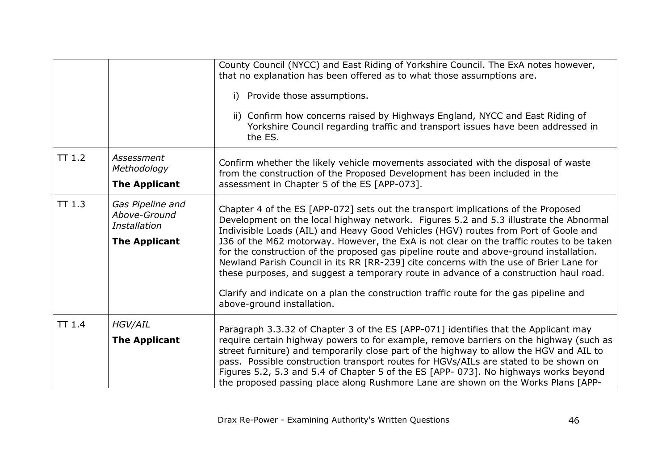|       |                                                                          | County Council (NYCC) and East Riding of Yorkshire Council. The ExA notes however,<br>that no explanation has been offered as to what those assumptions are.<br>i) Provide those assumptions.<br>ii) Confirm how concerns raised by Highways England, NYCC and East Riding of<br>Yorkshire Council regarding traffic and transport issues have been addressed in<br>the ES.                                                                                                                                                                                                                                                                                                                                                                                        |
|-------|--------------------------------------------------------------------------|--------------------------------------------------------------------------------------------------------------------------------------------------------------------------------------------------------------------------------------------------------------------------------------------------------------------------------------------------------------------------------------------------------------------------------------------------------------------------------------------------------------------------------------------------------------------------------------------------------------------------------------------------------------------------------------------------------------------------------------------------------------------|
| TT1.2 | Assessment<br>Methodology<br><b>The Applicant</b>                        | Confirm whether the likely vehicle movements associated with the disposal of waste<br>from the construction of the Proposed Development has been included in the<br>assessment in Chapter 5 of the ES [APP-073].                                                                                                                                                                                                                                                                                                                                                                                                                                                                                                                                                   |
| TT1.3 | Gas Pipeline and<br>Above-Ground<br>Installation<br><b>The Applicant</b> | Chapter 4 of the ES [APP-072] sets out the transport implications of the Proposed<br>Development on the local highway network. Figures 5.2 and 5.3 illustrate the Abnormal<br>Indivisible Loads (AIL) and Heavy Good Vehicles (HGV) routes from Port of Goole and<br>J36 of the M62 motorway. However, the ExA is not clear on the traffic routes to be taken<br>for the construction of the proposed gas pipeline route and above-ground installation.<br>Newland Parish Council in its RR [RR-239] cite concerns with the use of Brier Lane for<br>these purposes, and suggest a temporary route in advance of a construction haul road.<br>Clarify and indicate on a plan the construction traffic route for the gas pipeline and<br>above-ground installation. |
| TT1.4 | <b>HGV/AIL</b><br><b>The Applicant</b>                                   | Paragraph 3.3.32 of Chapter 3 of the ES [APP-071] identifies that the Applicant may<br>require certain highway powers to for example, remove barriers on the highway (such as<br>street furniture) and temporarily close part of the highway to allow the HGV and AIL to<br>pass. Possible construction transport routes for HGVs/AILs are stated to be shown on<br>Figures 5.2, 5.3 and 5.4 of Chapter 5 of the ES [APP- 073]. No highways works beyond<br>the proposed passing place along Rushmore Lane are shown on the Works Plans [APP-                                                                                                                                                                                                                      |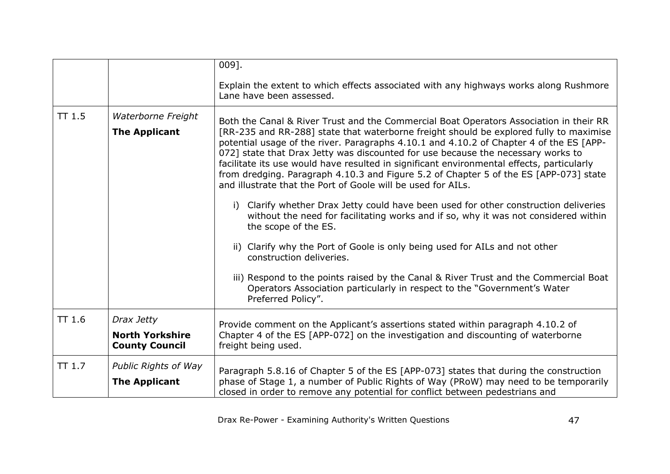|        |                                                               | $009$ ].                                                                                                                                                                                                                                                                                                                                                                                                                                                                                                                                                                                                                                                                                                                                                                                                                                                                                                                                                                                                                                                                                                                           |
|--------|---------------------------------------------------------------|------------------------------------------------------------------------------------------------------------------------------------------------------------------------------------------------------------------------------------------------------------------------------------------------------------------------------------------------------------------------------------------------------------------------------------------------------------------------------------------------------------------------------------------------------------------------------------------------------------------------------------------------------------------------------------------------------------------------------------------------------------------------------------------------------------------------------------------------------------------------------------------------------------------------------------------------------------------------------------------------------------------------------------------------------------------------------------------------------------------------------------|
|        |                                                               | Explain the extent to which effects associated with any highways works along Rushmore<br>Lane have been assessed.                                                                                                                                                                                                                                                                                                                                                                                                                                                                                                                                                                                                                                                                                                                                                                                                                                                                                                                                                                                                                  |
| TT1.5  | Waterborne Freight<br><b>The Applicant</b>                    | Both the Canal & River Trust and the Commercial Boat Operators Association in their RR<br>[RR-235 and RR-288] state that waterborne freight should be explored fully to maximise<br>potential usage of the river. Paragraphs 4.10.1 and 4.10.2 of Chapter 4 of the ES [APP-<br>072] state that Drax Jetty was discounted for use because the necessary works to<br>facilitate its use would have resulted in significant environmental effects, particularly<br>from dredging. Paragraph 4.10.3 and Figure 5.2 of Chapter 5 of the ES [APP-073] state<br>and illustrate that the Port of Goole will be used for AILs.<br>i) Clarify whether Drax Jetty could have been used for other construction deliveries<br>without the need for facilitating works and if so, why it was not considered within<br>the scope of the ES.<br>ii) Clarify why the Port of Goole is only being used for AILs and not other<br>construction deliveries.<br>iii) Respond to the points raised by the Canal & River Trust and the Commercial Boat<br>Operators Association particularly in respect to the "Government's Water"<br>Preferred Policy". |
| TT1.6  | Drax Jetty<br><b>North Yorkshire</b><br><b>County Council</b> | Provide comment on the Applicant's assertions stated within paragraph 4.10.2 of<br>Chapter 4 of the ES [APP-072] on the investigation and discounting of waterborne<br>freight being used.                                                                                                                                                                                                                                                                                                                                                                                                                                                                                                                                                                                                                                                                                                                                                                                                                                                                                                                                         |
| TT 1.7 | <b>Public Rights of Way</b><br><b>The Applicant</b>           | Paragraph 5.8.16 of Chapter 5 of the ES [APP-073] states that during the construction<br>phase of Stage 1, a number of Public Rights of Way (PRoW) may need to be temporarily<br>closed in order to remove any potential for conflict between pedestrians and                                                                                                                                                                                                                                                                                                                                                                                                                                                                                                                                                                                                                                                                                                                                                                                                                                                                      |